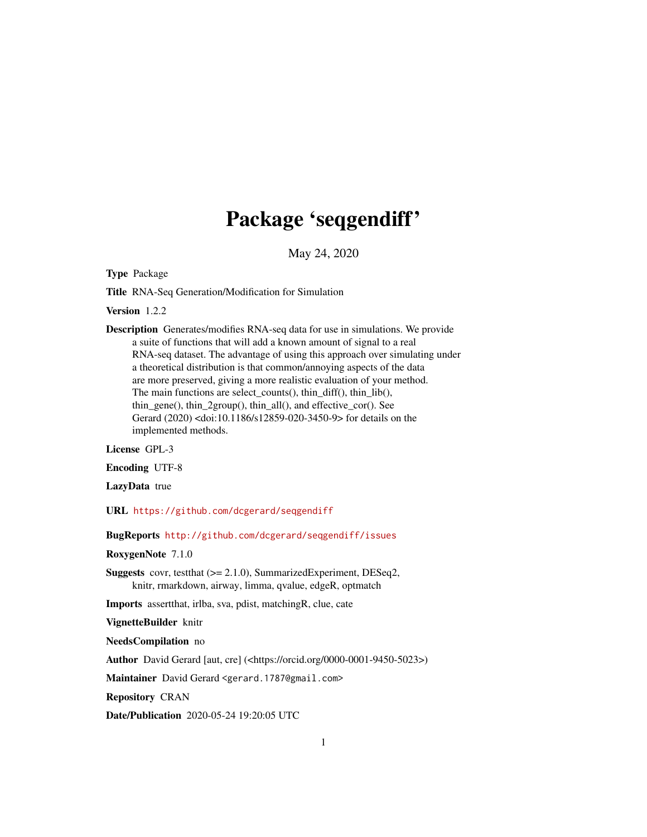# Package 'seqgendiff'

May 24, 2020

<span id="page-0-0"></span>Type Package

Title RNA-Seq Generation/Modification for Simulation

Version 1.2.2

Description Generates/modifies RNA-seq data for use in simulations. We provide a suite of functions that will add a known amount of signal to a real RNA-seq dataset. The advantage of using this approach over simulating under a theoretical distribution is that common/annoying aspects of the data are more preserved, giving a more realistic evaluation of your method. The main functions are select\_counts(), thin\_diff(), thin\_lib(), thin\_gene(), thin\_2group(), thin\_all(), and effective\_cor(). See Gerard (2020) <doi:10.1186/s12859-020-3450-9> for details on the implemented methods.

License GPL-3

Encoding UTF-8

LazyData true

URL <https://github.com/dcgerard/seqgendiff>

BugReports <http://github.com/dcgerard/seqgendiff/issues>

RoxygenNote 7.1.0

Suggests covr, testthat (>= 2.1.0), SummarizedExperiment, DESeq2, knitr, rmarkdown, airway, limma, qvalue, edgeR, optmatch

Imports assertthat, irlba, sva, pdist, matchingR, clue, cate

VignetteBuilder knitr

NeedsCompilation no

Author David Gerard [aut, cre] (<https://orcid.org/0000-0001-9450-5023>)

Maintainer David Gerard <gerard.1787@gmail.com>

Repository CRAN

Date/Publication 2020-05-24 19:20:05 UTC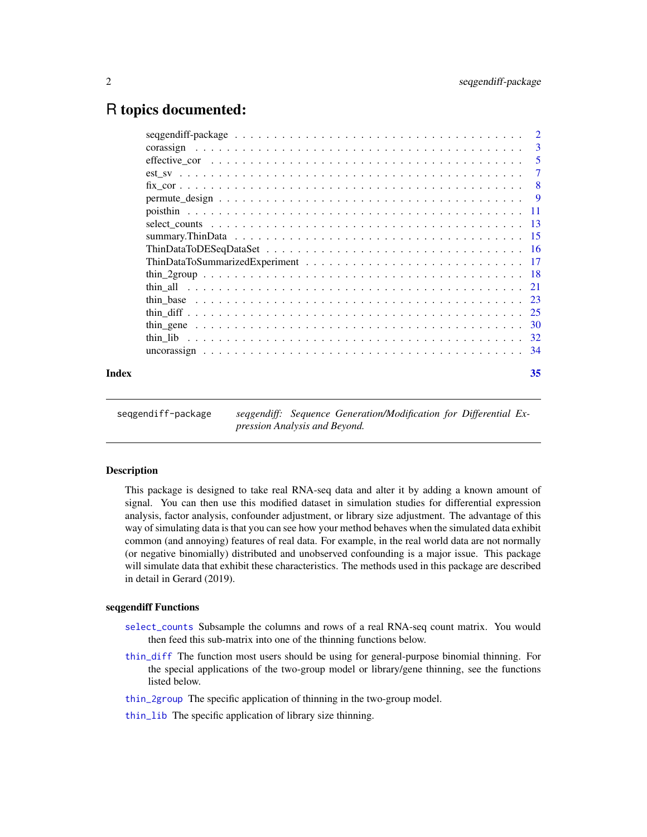# <span id="page-1-0"></span>R topics documented:

|       | corassign |    |
|-------|-----------|----|
|       |           |    |
|       |           |    |
|       |           |    |
|       |           |    |
|       |           |    |
|       |           |    |
|       |           |    |
|       |           |    |
|       |           |    |
|       |           |    |
|       |           |    |
|       |           |    |
|       |           |    |
|       |           |    |
|       |           |    |
|       |           |    |
| Index |           | 35 |

seqgendiff-package *seqgendiff: Sequence Generation/Modification for Differential Expression Analysis and Beyond.*

# Description

This package is designed to take real RNA-seq data and alter it by adding a known amount of signal. You can then use this modified dataset in simulation studies for differential expression analysis, factor analysis, confounder adjustment, or library size adjustment. The advantage of this way of simulating data is that you can see how your method behaves when the simulated data exhibit common (and annoying) features of real data. For example, in the real world data are not normally (or negative binomially) distributed and unobserved confounding is a major issue. This package will simulate data that exhibit these characteristics. The methods used in this package are described in detail in Gerard (2019).

#### seqgendiff Functions

- [select\\_counts](#page-12-1) Subsample the columns and rows of a real RNA-seq count matrix. You would then feed this sub-matrix into one of the thinning functions below.
- [thin\\_diff](#page-24-1) The function most users should be using for general-purpose binomial thinning. For the special applications of the two-group model or library/gene thinning, see the functions listed below.
- [thin\\_2group](#page-17-1) The specific application of thinning in the two-group model.
- [thin\\_lib](#page-31-1) The specific application of library size thinning.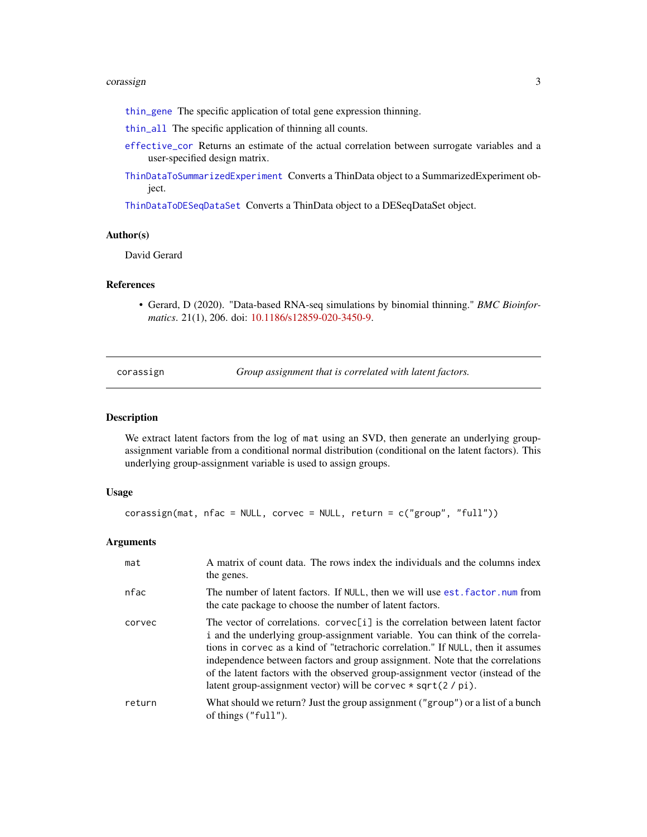#### <span id="page-2-0"></span>corassign 3

- [thin\\_gene](#page-29-1) The specific application of total gene expression thinning.
- [thin\\_all](#page-20-1) The specific application of thinning all counts.
- [effective\\_cor](#page-4-1) Returns an estimate of the actual correlation between surrogate variables and a user-specified design matrix.
- [ThinDataToSummarizedExperiment](#page-16-1) Converts a ThinData object to a SummarizedExperiment object.

[ThinDataToDESeqDataSet](#page-15-1) Converts a ThinData object to a DESeqDataSet object.

# Author(s)

David Gerard

# References

• Gerard, D (2020). "Data-based RNA-seq simulations by binomial thinning." *BMC Bioinformatics*. 21(1), 206. doi: [10.1186/s12859-020-3450-9.](https://doi.org/10.1186/s12859-020-3450-9)

<span id="page-2-1"></span>corassign *Group assignment that is correlated with latent factors.*

# **Description**

We extract latent factors from the log of mat using an SVD, then generate an underlying groupassignment variable from a conditional normal distribution (conditional on the latent factors). This underlying group-assignment variable is used to assign groups.

# Usage

```
\frac{1}{2} corassign(mat, nfac = NULL, corvec = NULL, return = c("group", "full"))
```

| mat    | A matrix of count data. The rows index the individuals and the columns index<br>the genes.                                                                                                                                                                                                                                                                                                                                                                                                |
|--------|-------------------------------------------------------------------------------------------------------------------------------------------------------------------------------------------------------------------------------------------------------------------------------------------------------------------------------------------------------------------------------------------------------------------------------------------------------------------------------------------|
| nfac   | The number of latent factors. If NULL, then we will use est. factor. num from<br>the cate package to choose the number of latent factors.                                                                                                                                                                                                                                                                                                                                                 |
| corvec | The vector of correlations. corvec[i] is the correlation between latent factor<br>i and the underlying group-assignment variable. You can think of the correla-<br>tions in corvec as a kind of "tetrachoric correlation." If NULL, then it assumes<br>independence between factors and group assignment. Note that the correlations<br>of the latent factors with the observed group-assignment vector (instead of the<br>latent group-assignment vector) will be corvec $*$ sqrt(2/pi). |
| return | What should we return? Just the group assignment ("group") or a list of a bunch<br>of things $("full").$                                                                                                                                                                                                                                                                                                                                                                                  |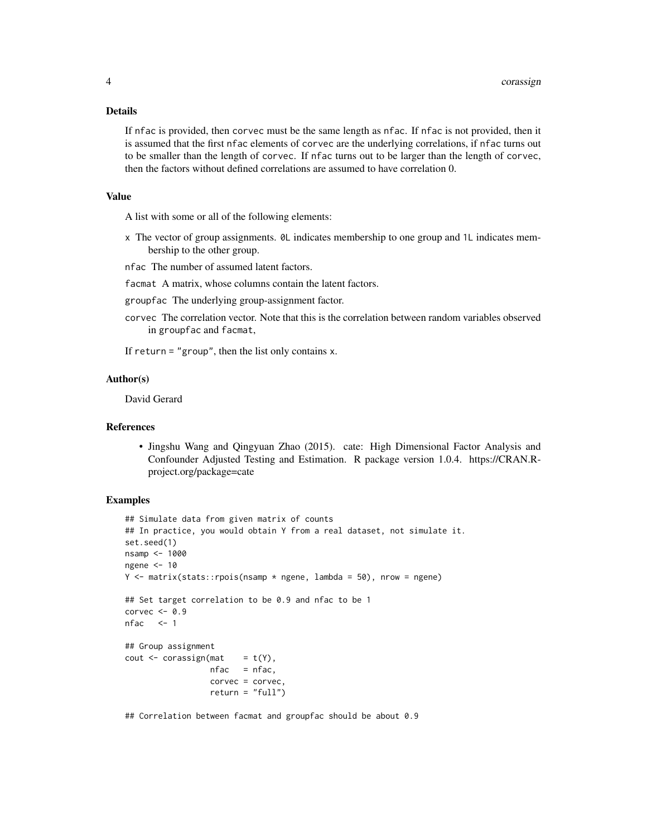#### Details

If nfac is provided, then corvec must be the same length as nfac. If nfac is not provided, then it is assumed that the first nfac elements of corvec are the underlying correlations, if nfac turns out to be smaller than the length of corvec. If nfac turns out to be larger than the length of corvec, then the factors without defined correlations are assumed to have correlation 0.

# Value

A list with some or all of the following elements:

- x The vector of group assignments. 0L indicates membership to one group and 1L indicates membership to the other group.
- nfac The number of assumed latent factors.

facmat A matrix, whose columns contain the latent factors.

- groupfac The underlying group-assignment factor.
- corvec The correlation vector. Note that this is the correlation between random variables observed in groupfac and facmat,

If return  $=$  "group", then the list only contains  $x$ .

#### Author(s)

David Gerard

#### References

• Jingshu Wang and Qingyuan Zhao (2015). cate: High Dimensional Factor Analysis and Confounder Adjusted Testing and Estimation. R package version 1.0.4. https://CRAN.Rproject.org/package=cate

# Examples

```
## Simulate data from given matrix of counts
## In practice, you would obtain Y from a real dataset, not simulate it.
set.seed(1)
nsamp <- 1000
ngene <-10Y \le - matrix(stats::rpois(nsamp * ngene, lambda = 50), nrow = ngene)
## Set target correlation to be 0.9 and nfac to be 1
corvec <-0.9nfac \leq -1## Group assignment
cout \leq corassign(mat = t(Y),
                  nfac = nfac,corvec = corvec,
                  return = "full")
```
## Correlation between facmat and groupfac should be about 0.9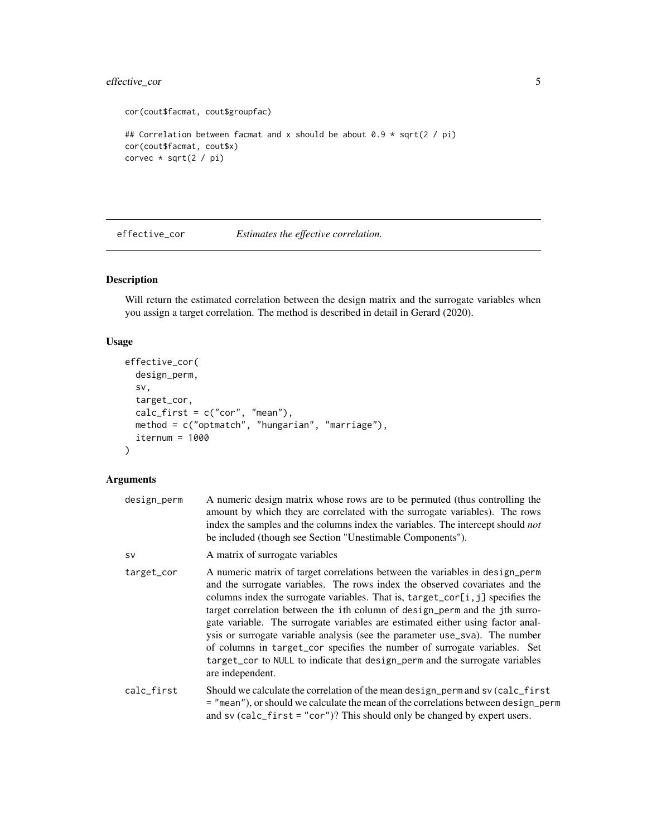# <span id="page-4-0"></span>effective\_cor 5

```
cor(cout$facmat, cout$groupfac)
## Correlation between facmat and x should be about 0.9 \times \sqrt{2} / pi)
cor(cout$facmat, cout$x)
corvec * sqrt(2 / pi)
```
<span id="page-4-1"></span>effective\_cor *Estimates the effective correlation.*

# Description

Will return the estimated correlation between the design matrix and the surrogate variables when you assign a target correlation. The method is described in detail in Gerard (2020).

# Usage

```
effective_cor(
  design_perm,
  sv,
  target_cor,
  calc_first = c("cor", "mean"),
  method = c("optmatch", "hungarian", "marriage"),
  itemum = 1000\mathcal{L}
```

| design_perm | A numeric design matrix whose rows are to be permuted (thus controlling the<br>amount by which they are correlated with the surrogate variables). The rows<br>index the samples and the columns index the variables. The intercept should not<br>be included (though see Section "Unestimable Components").                                                                                                                                                                                                                                                                                                                                                                   |
|-------------|-------------------------------------------------------------------------------------------------------------------------------------------------------------------------------------------------------------------------------------------------------------------------------------------------------------------------------------------------------------------------------------------------------------------------------------------------------------------------------------------------------------------------------------------------------------------------------------------------------------------------------------------------------------------------------|
| <b>SV</b>   | A matrix of surrogate variables                                                                                                                                                                                                                                                                                                                                                                                                                                                                                                                                                                                                                                               |
| target_cor  | A numeric matrix of target correlations between the variables in design_perm<br>and the surrogate variables. The rows index the observed covariates and the<br>columns index the surrogate variables. That is, target_cor[i, j] specifies the<br>target correlation between the ith column of design_perm and the jth surro-<br>gate variable. The surrogate variables are estimated either using factor anal-<br>ysis or surrogate variable analysis (see the parameter use_sva). The number<br>of columns in target_cor specifies the number of surrogate variables. Set<br>target_cor to NULL to indicate that design_perm and the surrogate variables<br>are independent. |
| calc_first  | Should we calculate the correlation of the mean design_perm and sv (calc_first<br>= "mean"), or should we calculate the mean of the correlations between design_perm<br>and sv $(calc_first = "cor")$ ? This should only be changed by expert users.                                                                                                                                                                                                                                                                                                                                                                                                                          |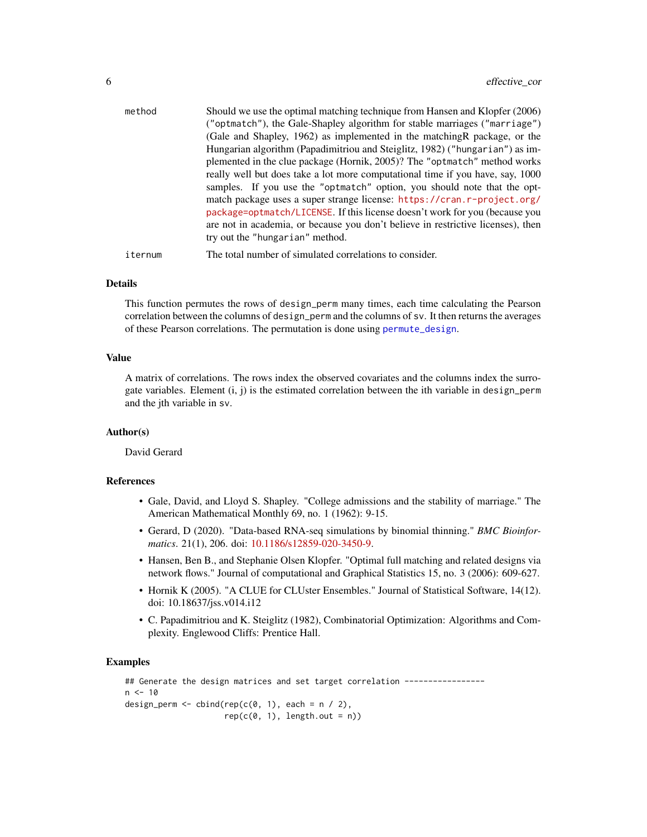<span id="page-5-0"></span>

| method  | Should we use the optimal matching technique from Hansen and Klopfer (2006)<br>("optmatch"), the Gale-Shapley algorithm for stable marriages ("marriage")<br>(Gale and Shapley, 1962) as implemented in the matching R package, or the<br>Hungarian algorithm (Papadimitriou and Steiglitz, 1982) ("hungarian") as im-<br>plemented in the clue package (Hornik, 2005)? The "optmatch" method works<br>really well but does take a lot more computational time if you have, say, 1000<br>samples. If you use the "optmatch" option, you should note that the opt-<br>match package uses a super strange license: https://cran.r-project.org/ |
|---------|----------------------------------------------------------------------------------------------------------------------------------------------------------------------------------------------------------------------------------------------------------------------------------------------------------------------------------------------------------------------------------------------------------------------------------------------------------------------------------------------------------------------------------------------------------------------------------------------------------------------------------------------|
|         | package=optmatch/LICENSE. If this license doesn't work for you (because you<br>are not in academia, or because you don't believe in restrictive licenses), then<br>try out the "hungarian" method.                                                                                                                                                                                                                                                                                                                                                                                                                                           |
| iternum | The total number of simulated correlations to consider.                                                                                                                                                                                                                                                                                                                                                                                                                                                                                                                                                                                      |

#### Details

This function permutes the rows of design\_perm many times, each time calculating the Pearson correlation between the columns of design\_perm and the columns of sv. It then returns the averages of these Pearson correlations. The permutation is done using [permute\\_design](#page-8-1).

#### Value

A matrix of correlations. The rows index the observed covariates and the columns index the surrogate variables. Element  $(i, j)$  is the estimated correlation between the ith variable in design\_perm and the jth variable in sv.

#### Author(s)

David Gerard

#### References

- Gale, David, and Lloyd S. Shapley. "College admissions and the stability of marriage." The American Mathematical Monthly 69, no. 1 (1962): 9-15.
- Gerard, D (2020). "Data-based RNA-seq simulations by binomial thinning." *BMC Bioinformatics*. 21(1), 206. doi: [10.1186/s12859-020-3450-9.](https://doi.org/10.1186/s12859-020-3450-9)
- Hansen, Ben B., and Stephanie Olsen Klopfer. "Optimal full matching and related designs via network flows." Journal of computational and Graphical Statistics 15, no. 3 (2006): 609-627.
- Hornik K (2005). "A CLUE for CLUster Ensembles." Journal of Statistical Software, 14(12). doi: 10.18637/jss.v014.i12
- C. Papadimitriou and K. Steiglitz (1982), Combinatorial Optimization: Algorithms and Complexity. Englewood Cliffs: Prentice Hall.

## Examples

```
## Generate the design matrices and set target correlation -----------------
n < -10design_perm <- cbind(rep(c(0, 1), each = n / 2),
                      rep(c(\emptyset, 1), length.out = n))
```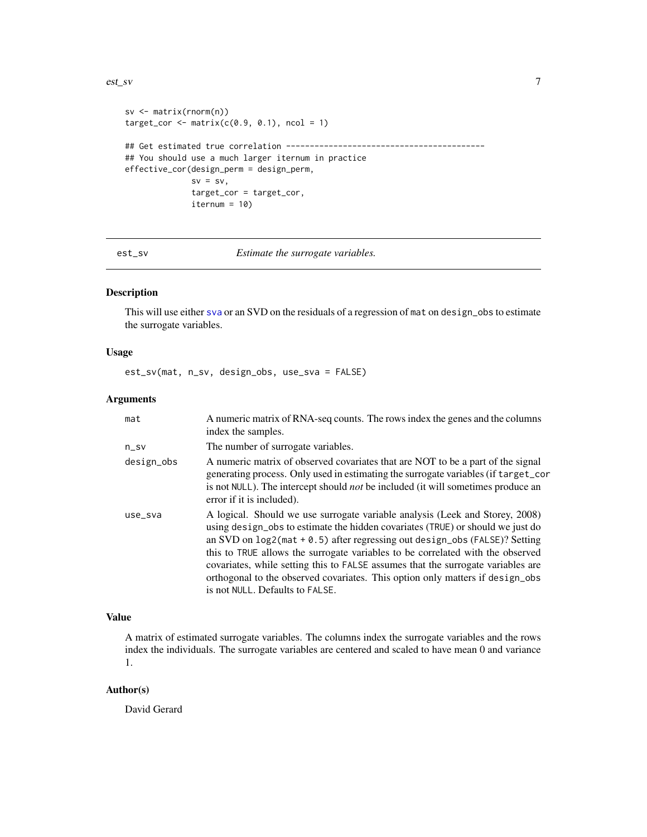#### <span id="page-6-0"></span>est\_sv 7

```
sv <- matrix(rnorm(n))
target\_cor \leftarrow matrix(c(0.9, 0.1), ncol = 1)## Get estimated true correlation ------------------------------------------
## You should use a much larger iternum in practice
effective_cor(design_perm = design_perm,
              sv = sv,target_cor = target_cor,
              itemum = 10)
```
est\_sv *Estimate the surrogate variables.*

### Description

This will use either [sva](#page-0-0) or an SVD on the residuals of a regression of mat on design\_obs to estimate the surrogate variables.

# Usage

est\_sv(mat, n\_sv, design\_obs, use\_sva = FALSE)

### Arguments

| mat        | A numeric matrix of RNA-seq counts. The rows index the genes and the columns<br>index the samples.                                                                                                                                                                                                                                                                                                                                                                                                                                        |
|------------|-------------------------------------------------------------------------------------------------------------------------------------------------------------------------------------------------------------------------------------------------------------------------------------------------------------------------------------------------------------------------------------------------------------------------------------------------------------------------------------------------------------------------------------------|
| $n$ _sv    | The number of surrogate variables.                                                                                                                                                                                                                                                                                                                                                                                                                                                                                                        |
| design_obs | A numeric matrix of observed covariates that are NOT to be a part of the signal<br>generating process. Only used in estimating the surrogate variables (if target_cor<br>is not NULL). The intercept should <i>not</i> be included (it will sometimes produce an<br>error if it is included).                                                                                                                                                                                                                                             |
| use_sva    | A logical. Should we use surrogate variable analysis (Leek and Storey, 2008)<br>using design_obs to estimate the hidden covariates (TRUE) or should we just do<br>an SVD on $log2$ (mat + 0.5) after regressing out design obs (FALSE)? Setting<br>this to TRUE allows the surrogate variables to be correlated with the observed<br>covariates, while setting this to FALSE assumes that the surrogate variables are<br>orthogonal to the observed covariates. This option only matters if design_obs<br>is not NULL. Defaults to FALSE. |

# Value

A matrix of estimated surrogate variables. The columns index the surrogate variables and the rows index the individuals. The surrogate variables are centered and scaled to have mean 0 and variance 1.

# Author(s)

David Gerard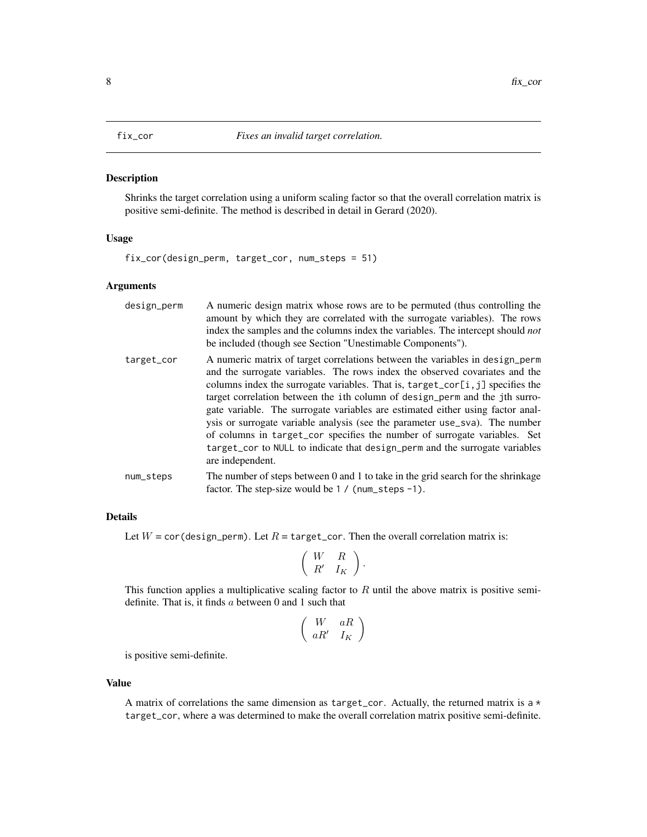#### <span id="page-7-1"></span><span id="page-7-0"></span>Description

Shrinks the target correlation using a uniform scaling factor so that the overall correlation matrix is positive semi-definite. The method is described in detail in Gerard (2020).

# Usage

fix\_cor(design\_perm, target\_cor, num\_steps = 51)

# Arguments

| design_perm | A numeric design matrix whose rows are to be permuted (thus controlling the<br>amount by which they are correlated with the surrogate variables). The rows<br>index the samples and the columns index the variables. The intercept should not<br>be included (though see Section "Unestimable Components").                                                                                                                                                                                                                                                                                                                                                                             |
|-------------|-----------------------------------------------------------------------------------------------------------------------------------------------------------------------------------------------------------------------------------------------------------------------------------------------------------------------------------------------------------------------------------------------------------------------------------------------------------------------------------------------------------------------------------------------------------------------------------------------------------------------------------------------------------------------------------------|
| target_cor  | A numeric matrix of target correlations between the variables in design_perm<br>and the surrogate variables. The rows index the observed covariates and the<br>columns index the surrogate variables. That is, $\text{target\_cor}[i, j]$ specifies the<br>target correlation between the ith column of design_perm and the jth surro-<br>gate variable. The surrogate variables are estimated either using factor anal-<br>ysis or surrogate variable analysis (see the parameter use_sva). The number<br>of columns in target_cor specifies the number of surrogate variables. Set<br>target_cor to NULL to indicate that design_perm and the surrogate variables<br>are independent. |
| num_steps   | The number of steps between 0 and 1 to take in the grid search for the shrinkage<br>factor. The step-size would be $1 / (num\_steps - 1)$ .                                                                                                                                                                                                                                                                                                                                                                                                                                                                                                                                             |

#### Details

Let  $W = \text{cor}(\text{design\_perm})$ . Let  $R = \text{target\_cor}$ . Then the overall correlation matrix is:

$$
\left(\begin{array}{cc} W & R \\ R' & I_K \end{array}\right).
$$

This function applies a multiplicative scaling factor to  $R$  until the above matrix is positive semidefinite. That is, it finds  $a$  between 0 and 1 such that

$$
\left(\begin{array}{cc} W & aR \\ aR' & I_K \end{array}\right)
$$

is positive semi-definite.

#### Value

A matrix of correlations the same dimension as  $target\_cor$ . Actually, the returned matrix is a  $*$ target\_cor, where a was determined to make the overall correlation matrix positive semi-definite.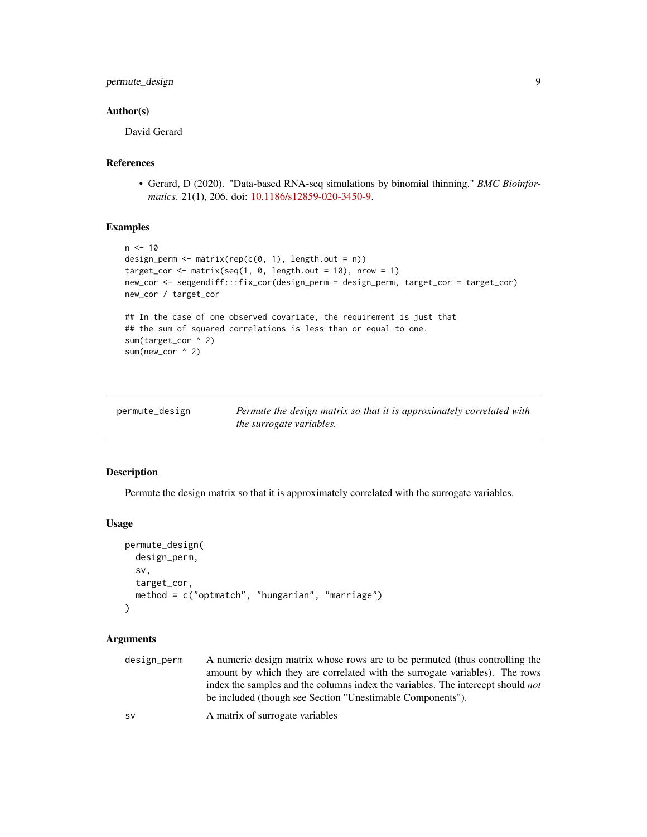# <span id="page-8-0"></span>Author(s)

David Gerard

# References

• Gerard, D (2020). "Data-based RNA-seq simulations by binomial thinning." *BMC Bioinformatics*. 21(1), 206. doi: [10.1186/s12859-020-3450-9.](https://doi.org/10.1186/s12859-020-3450-9)

# Examples

```
n < -10design_perm <- matrix(rep(c(0, 1), length.out = n))
target_cor <- matrix(seq(1, \theta, length.out = 10), nrow = 1)
new_cor <- seqgendiff:::fix_cor(design_perm = design_perm, target_cor = target_cor)
new_cor / target_cor
## In the case of one observed covariate, the requirement is just that
## the sum of squared correlations is less than or equal to one.
sum(target_cor ^ 2)
sum(new_cor ^ 2)
```
<span id="page-8-1"></span>

| permute_design | Permute the design matrix so that it is approximately correlated with |
|----------------|-----------------------------------------------------------------------|
|                | <i>the surrogate variables.</i>                                       |

# Description

Permute the design matrix so that it is approximately correlated with the surrogate variables.

### Usage

```
permute_design(
  design_perm,
  sv,
  target_cor,
 method = c("optmatch", "hungarian", "marriage")
)
```
# Arguments

| design_perm | A numeric design matrix whose rows are to be permuted (thus controlling the            |
|-------------|----------------------------------------------------------------------------------------|
|             | amount by which they are correlated with the surrogate variables). The rows            |
|             | index the samples and the columns index the variables. The intercept should <i>not</i> |
|             | be included (though see Section "Unestimable Components").                             |
|             |                                                                                        |

sv A matrix of surrogate variables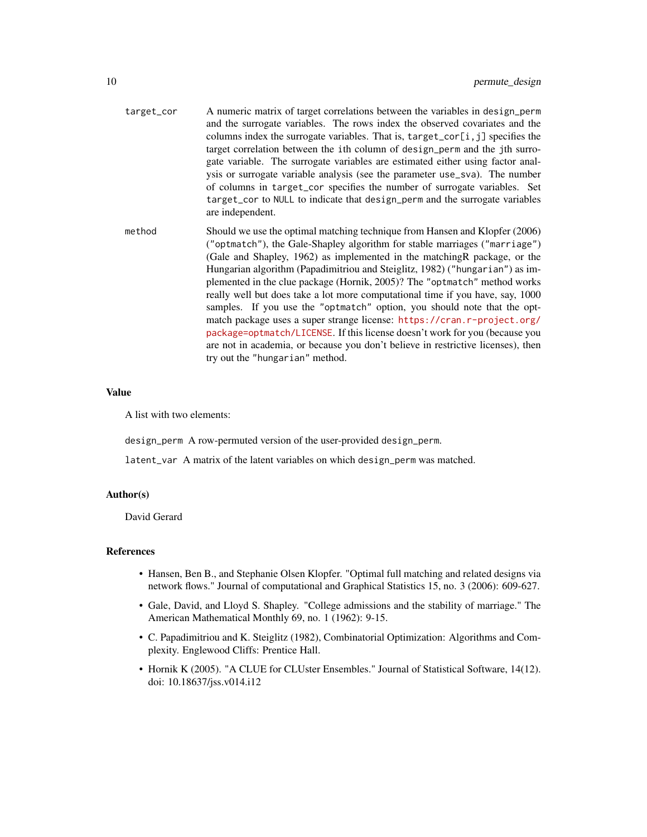| target_cor | A numeric matrix of target correlations between the variables in design perm<br>and the surrogate variables. The rows index the observed covariates and the<br>columns index the surrogate variables. That is, target_cor[i,j] specifies the<br>target correlation between the ith column of design_perm and the jth surro-<br>gate variable. The surrogate variables are estimated either using factor anal-<br>ysis or surrogate variable analysis (see the parameter use_sva). The number<br>of columns in target_cor specifies the number of surrogate variables. Set<br>target_cor to NULL to indicate that design_perm and the surrogate variables<br>are independent.                                                                                                                                                                       |
|------------|----------------------------------------------------------------------------------------------------------------------------------------------------------------------------------------------------------------------------------------------------------------------------------------------------------------------------------------------------------------------------------------------------------------------------------------------------------------------------------------------------------------------------------------------------------------------------------------------------------------------------------------------------------------------------------------------------------------------------------------------------------------------------------------------------------------------------------------------------|
| method     | Should we use the optimal matching technique from Hansen and Klopfer (2006)<br>("optmatch"), the Gale-Shapley algorithm for stable marriages ("marriage")<br>(Gale and Shapley, 1962) as implemented in the matching R package, or the<br>Hungarian algorithm (Papadimitriou and Steiglitz, 1982) ("hungarian") as im-<br>plemented in the clue package (Hornik, 2005)? The "optmatch" method works<br>really well but does take a lot more computational time if you have, say, 1000<br>samples. If you use the "optmatch" option, you should note that the opt-<br>match package uses a super strange license: https://cran.r-project.org/<br>package=optmatch/LICENSE. If this license doesn't work for you (because you<br>are not in academia, or because you don't believe in restrictive licenses), then<br>try out the "hungarian" method. |

#### Value

A list with two elements:

design\_perm A row-permuted version of the user-provided design\_perm.

latent\_var A matrix of the latent variables on which design\_perm was matched.

# Author(s)

David Gerard

# References

- Hansen, Ben B., and Stephanie Olsen Klopfer. "Optimal full matching and related designs via network flows." Journal of computational and Graphical Statistics 15, no. 3 (2006): 609-627.
- Gale, David, and Lloyd S. Shapley. "College admissions and the stability of marriage." The American Mathematical Monthly 69, no. 1 (1962): 9-15.
- C. Papadimitriou and K. Steiglitz (1982), Combinatorial Optimization: Algorithms and Complexity. Englewood Cliffs: Prentice Hall.
- Hornik K (2005). "A CLUE for CLUster Ensembles." Journal of Statistical Software, 14(12). doi: 10.18637/jss.v014.i12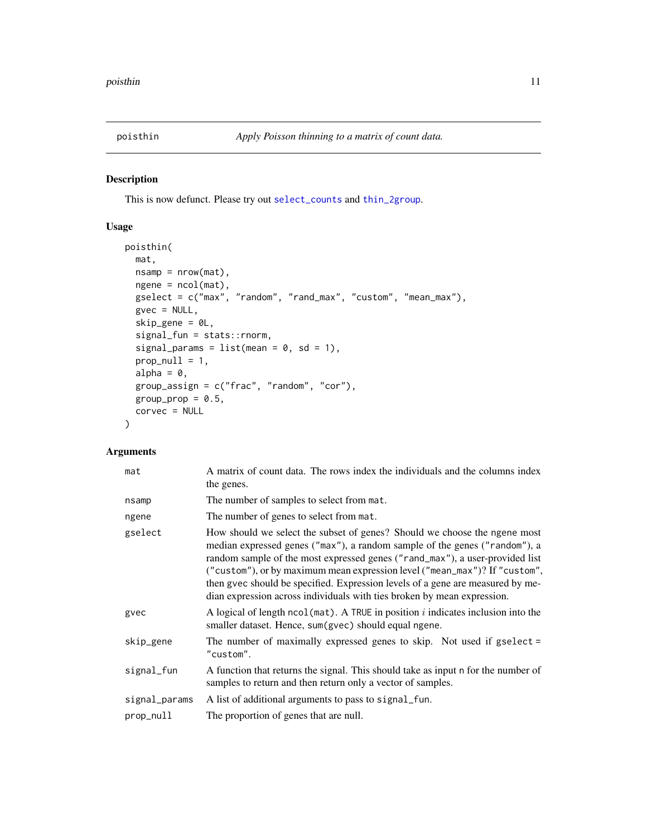<span id="page-10-0"></span>

# Description

This is now defunct. Please try out [select\\_counts](#page-12-1) and [thin\\_2group](#page-17-1).

# Usage

```
poisthin(
 mat,
 nsamp = nrow(mat),
 ngene = ncol(mat),
  gselect = c("max", "random", "rand_max", "custom", "mean_max"),
 gvec = NULL,
  skip_gene = 0L,
  signal_fun = stats::rnorm,
  signal_params = list(mean = 0, sd = 1),
 prop\_null = 1,
 alpha = 0,
  group_assign = c("frac", "random", "cor"),
 group\_prop = 0.5,
 corvec = NULL
)
```

| mat           | A matrix of count data. The rows index the individuals and the columns index<br>the genes.                                                                                                                                                                                                                                                                                                                                                                                         |
|---------------|------------------------------------------------------------------------------------------------------------------------------------------------------------------------------------------------------------------------------------------------------------------------------------------------------------------------------------------------------------------------------------------------------------------------------------------------------------------------------------|
| nsamp         | The number of samples to select from mat.                                                                                                                                                                                                                                                                                                                                                                                                                                          |
| ngene         | The number of genes to select from mat.                                                                                                                                                                                                                                                                                                                                                                                                                                            |
| gselect       | How should we select the subset of genes? Should we choose the ngene most<br>median expressed genes ("max"), a random sample of the genes ("random"), a<br>random sample of the most expressed genes ("rand_max"), a user-provided list<br>("custom"), or by maximum mean expression level ("mean_max")? If "custom",<br>then gvec should be specified. Expression levels of a gene are measured by me-<br>dian expression across individuals with ties broken by mean expression. |
| gvec          | A logical of length $ncol(mat)$ . A TRUE in position i indicates inclusion into the<br>smaller dataset. Hence, sum(gvec) should equal ngene.                                                                                                                                                                                                                                                                                                                                       |
| skip_gene     | The number of maximally expressed genes to skip. Not used if $gselect =$<br>"custom".                                                                                                                                                                                                                                                                                                                                                                                              |
| signal_fun    | A function that returns the signal. This should take as input n for the number of<br>samples to return and then return only a vector of samples.                                                                                                                                                                                                                                                                                                                                   |
| signal_params | A list of additional arguments to pass to signal fun.                                                                                                                                                                                                                                                                                                                                                                                                                              |
| prop_null     | The proportion of genes that are null.                                                                                                                                                                                                                                                                                                                                                                                                                                             |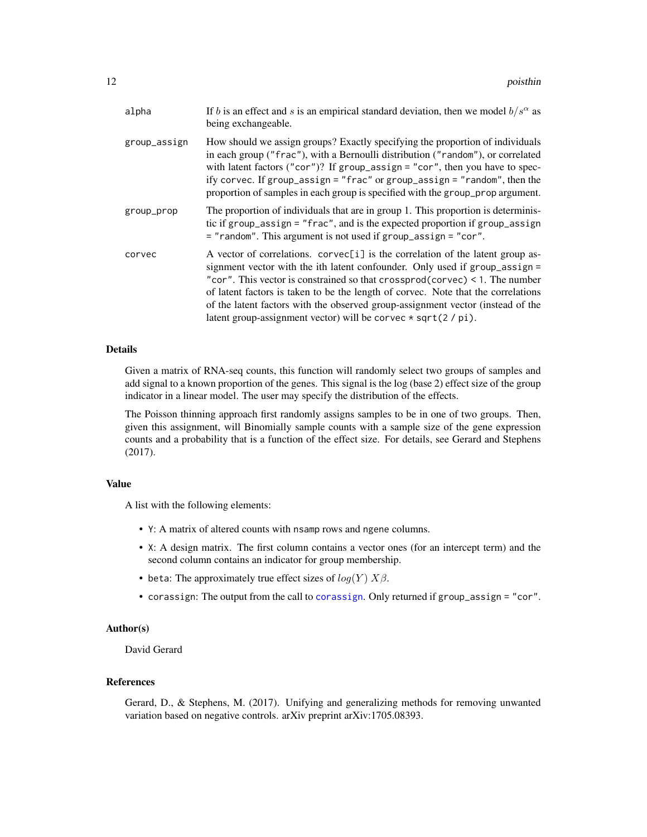<span id="page-11-0"></span>

| alpha        | If b is an effect and s is an empirical standard deviation, then we model $b/s^{\alpha}$ as<br>being exchangeable.                                                                                                                                                                                                                                                                                                                                                                                       |
|--------------|----------------------------------------------------------------------------------------------------------------------------------------------------------------------------------------------------------------------------------------------------------------------------------------------------------------------------------------------------------------------------------------------------------------------------------------------------------------------------------------------------------|
| group_assign | How should we assign groups? Exactly specifying the proportion of individuals<br>in each group ("frac"), with a Bernoulli distribution ("random"), or correlated<br>with latent factors ("cor")? If group_assign = "cor", then you have to spec-<br>ify corvec. If group_assign = "frac" or group_assign = "random", then the<br>proportion of samples in each group is specified with the group_prop argument.                                                                                          |
| group_prop   | The proportion of individuals that are in group 1. This proportion is determinis-<br>tic if group_assign = "frac", and is the expected proportion if group_assign<br>$=$ "random". This argument is not used if group_assign = "cor".                                                                                                                                                                                                                                                                    |
| corvec       | A vector of correlations. $\text{corvec}[i]$ is the correlation of the latent group as-<br>signment vector with the ith latent confounder. Only used if group_assign =<br>"cor". This vector is constrained so that $crossprod(corvec) < 1$ . The number<br>of latent factors is taken to be the length of corvec. Note that the correlations<br>of the latent factors with the observed group-assignment vector (instead of the<br>latent group-assignment vector) will be corvec $\star$ sqrt(2 / pi). |

# Details

Given a matrix of RNA-seq counts, this function will randomly select two groups of samples and add signal to a known proportion of the genes. This signal is the log (base 2) effect size of the group indicator in a linear model. The user may specify the distribution of the effects.

The Poisson thinning approach first randomly assigns samples to be in one of two groups. Then, given this assignment, will Binomially sample counts with a sample size of the gene expression counts and a probability that is a function of the effect size. For details, see Gerard and Stephens (2017).

# Value

A list with the following elements:

- Y: A matrix of altered counts with nsamp rows and ngene columns.
- X: A design matrix. The first column contains a vector ones (for an intercept term) and the second column contains an indicator for group membership.
- beta: The approximately true effect sizes of  $log(Y)$   $X\beta$ .
- corassign: The output from the call to [corassign](#page-2-1). Only returned if group\_assign = "cor".

# Author(s)

David Gerard

# References

Gerard, D., & Stephens, M. (2017). Unifying and generalizing methods for removing unwanted variation based on negative controls. arXiv preprint arXiv:1705.08393.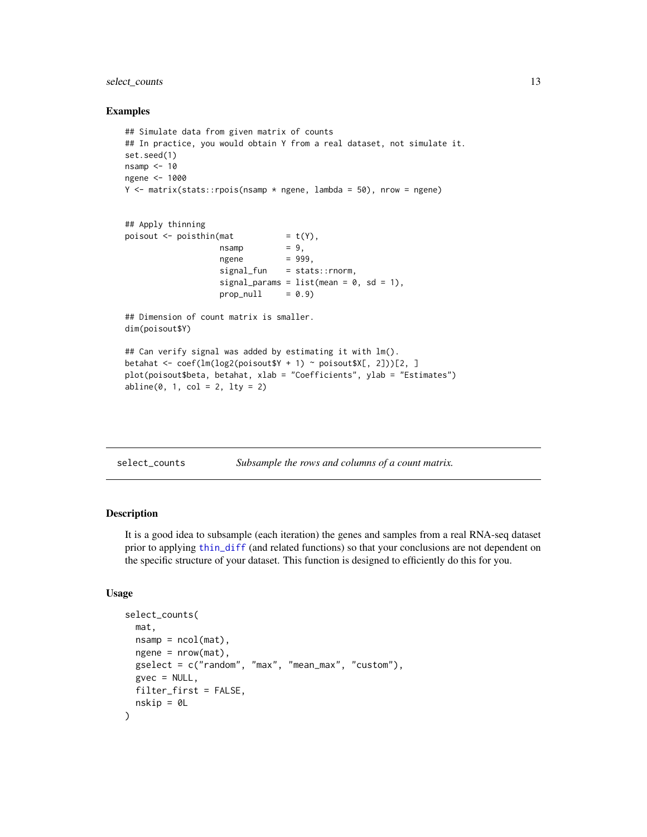# <span id="page-12-0"></span>select\_counts 13

#### Examples

```
## Simulate data from given matrix of counts
## In practice, you would obtain Y from a real dataset, not simulate it.
set.seed(1)
nsamp < -10ngene <- 1000
Y \le - matrix(stats::rpois(nsamp * ngene, lambda = 50), nrow = ngene)
## Apply thinning
poisout \leq poisthin(mat = t(Y),
                   nsamp = 9,
                   ngene = 999,
                   signal_fun = stats::rnorm,
                   signal_params = list(mean = 0, sd = 1),
                   prop\_null = 0.9)
## Dimension of count matrix is smaller.
dim(poisout$Y)
## Can verify signal was added by estimating it with lm().
betahat <- coef(lm(log2(poisout$Y + 1) ~ poisout$X[, 2]))[2, ]
plot(poisout$beta, betahat, xlab = "Coefficients", ylab = "Estimates")
abline(0, 1, col = 2, lty = 2)
```
<span id="page-12-1"></span>

# Description

It is a good idea to subsample (each iteration) the genes and samples from a real RNA-seq dataset prior to applying [thin\\_diff](#page-24-1) (and related functions) so that your conclusions are not dependent on the specific structure of your dataset. This function is designed to efficiently do this for you.

#### Usage

```
select_counts(
 mat,
 nsamp = ncol(mat),
 ngene = nrow(mat),
 gselect = c("random", "max", "mean_max", "custom"),
 gvec = NULL,
 filter_first = FALSE,
  nskip = 0L
)
```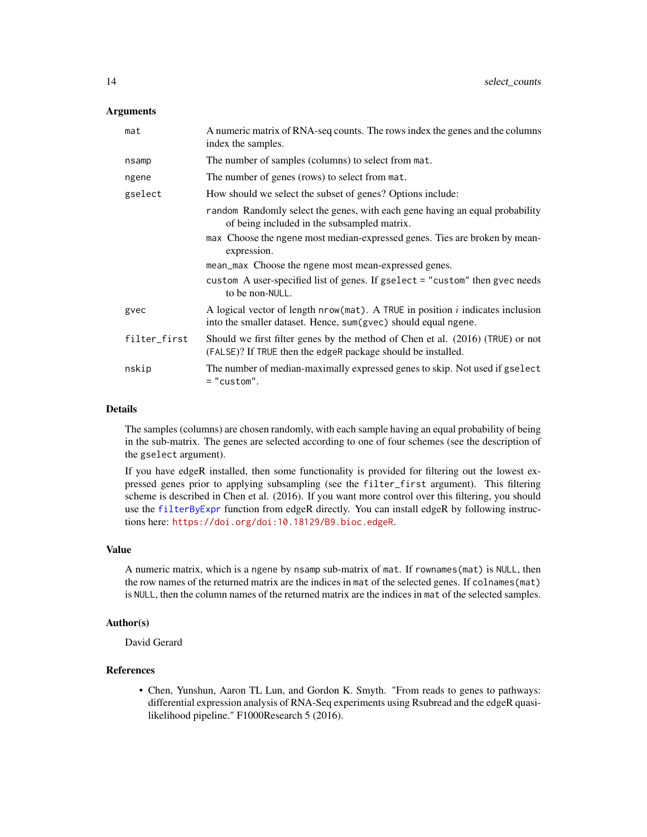#### <span id="page-13-0"></span>Arguments

| mat          | A numeric matrix of RNA-seq counts. The rows index the genes and the columns<br>index the samples.                                                  |
|--------------|-----------------------------------------------------------------------------------------------------------------------------------------------------|
| nsamp        | The number of samples (columns) to select from mat.                                                                                                 |
| ngene        | The number of genes (rows) to select from mat.                                                                                                      |
| gselect      | How should we select the subset of genes? Options include:                                                                                          |
|              | random Randomly select the genes, with each gene having an equal probability<br>of being included in the subsampled matrix.                         |
|              | max Choose the ngene most median-expressed genes. Ties are broken by mean-<br>expression.                                                           |
|              | mean_max Choose the ngene most mean-expressed genes.                                                                                                |
|              | custom A user-specified list of genes. If gselect = "custom" then gvec needs<br>to be non-NULL.                                                     |
| gvec         | A logical vector of length $nrow(mat)$ . A TRUE in position i indicates inclusion<br>into the smaller dataset. Hence, sum(gvec) should equal ngene. |
| filter_first | Should we first filter genes by the method of Chen et al. (2016) (TRUE) or not<br>(FALSE)? If TRUE then the edgeR package should be installed.      |
| nskip        | The number of median-maximally expressed genes to skip. Not used if gselect<br>$=$ "custom".                                                        |

#### Details

The samples (columns) are chosen randomly, with each sample having an equal probability of being in the sub-matrix. The genes are selected according to one of four schemes (see the description of the gselect argument).

If you have edgeR installed, then some functionality is provided for filtering out the lowest expressed genes prior to applying subsampling (see the filter\_first argument). This filtering scheme is described in Chen et al. (2016). If you want more control over this filtering, you should use the [filterByExpr](#page-0-0) function from edgeR directly. You can install edgeR by following instructions here: <https://doi.org/doi:10.18129/B9.bioc.edgeR>.

#### Value

A numeric matrix, which is a ngene by nsamp sub-matrix of mat. If rownames(mat) is NULL, then the row names of the returned matrix are the indices in mat of the selected genes. If colnames(mat) is NULL, then the column names of the returned matrix are the indices in mat of the selected samples.

# Author(s)

David Gerard

# References

• Chen, Yunshun, Aaron TL Lun, and Gordon K. Smyth. "From reads to genes to pathways: differential expression analysis of RNA-Seq experiments using Rsubread and the edgeR quasilikelihood pipeline." F1000Research 5 (2016).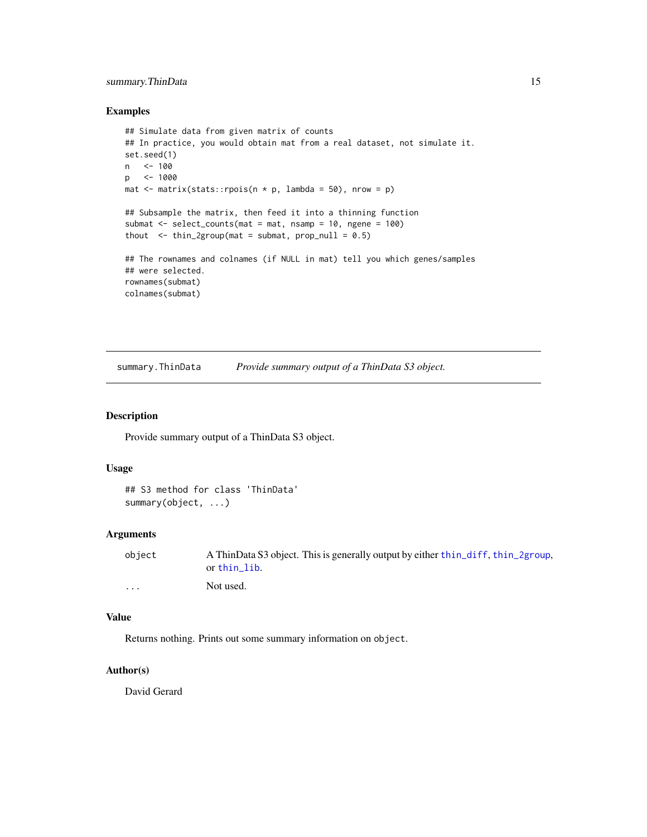# <span id="page-14-0"></span>summary. ThinData 15

#### Examples

```
## Simulate data from given matrix of counts
## In practice, you would obtain mat from a real dataset, not simulate it.
set.seed(1)
n <- 100
p <- 1000
mat \le matrix(stats::rpois(n * p, lambda = 50), nrow = p)
## Subsample the matrix, then feed it into a thinning function
submat <- select_counts(mat = mat, nsamp = 10, ngene = 100)
thout \le thin_2group(mat = submat, prop_null = 0.5)
## The rownames and colnames (if NULL in mat) tell you which genes/samples
## were selected.
rownames(submat)
colnames(submat)
```
summary.ThinData *Provide summary output of a ThinData S3 object.*

#### Description

Provide summary output of a ThinData S3 object.

# Usage

```
## S3 method for class 'ThinData'
summary(object, ...)
```
# Arguments

| obiect   | A ThinData S3 object. This is generally output by either thin_diff, thin_2group,<br>or thin lib. |
|----------|--------------------------------------------------------------------------------------------------|
| $\cdots$ | Not used.                                                                                        |

# Value

Returns nothing. Prints out some summary information on object.

# Author(s)

David Gerard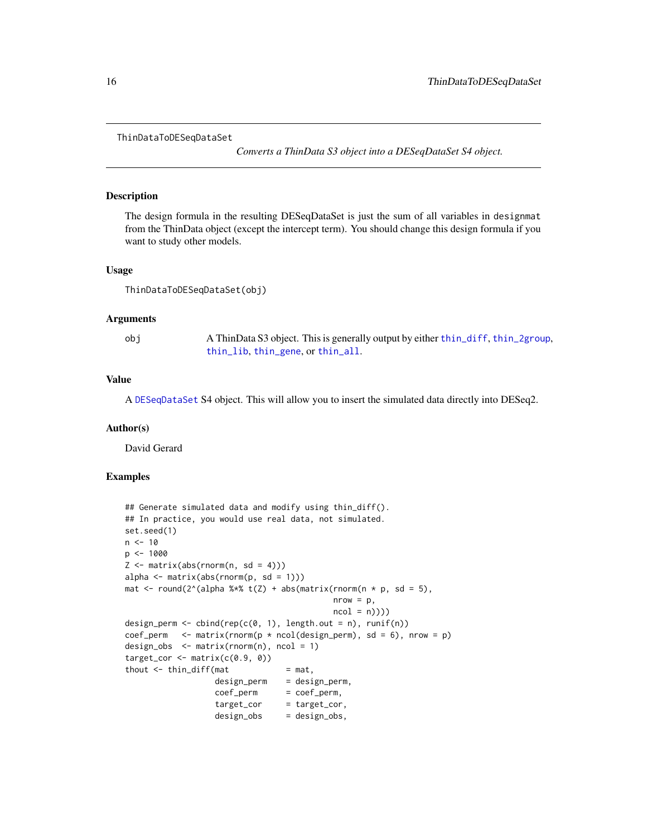```
ThinDataToDESeqDataSet
```
*Converts a ThinData S3 object into a DESeqDataSet S4 object.*

#### Description

The design formula in the resulting DESeqDataSet is just the sum of all variables in designmat from the ThinData object (except the intercept term). You should change this design formula if you want to study other models.

#### Usage

```
ThinDataToDESeqDataSet(obj)
```
#### Arguments

obj A ThinData S3 object. This is generally output by either [thin\\_diff](#page-24-1), [thin\\_2group](#page-17-1), [thin\\_lib](#page-31-1), [thin\\_gene](#page-29-1), or [thin\\_all](#page-20-1).

#### Value

A [DESeqDataSet](#page-0-0) S4 object. This will allow you to insert the simulated data directly into DESeq2.

#### Author(s)

David Gerard

# Examples

```
## Generate simulated data and modify using thin_diff().
## In practice, you would use real data, not simulated.
set.seed(1)
n < -10p <- 1000
Z \leq - matrix(abs(rnorm(n, sd = 4)))
alpha \leq matrix(abs(rnorm(p, sd = 1)))
mat \le round(2^(alpha %*% t(Z) + abs(matrix(rnorm(n * p, sd = 5),
                                           nrow = p,
                                           ncol = n))design_perm <- cbind(rep(c(0, 1), length.out = n), runif(n))
coef\_perm <- matrix(rnorm(p * ncol(design_perm), sd = 6), nrow = p)
design_obs \leq matrix(rnorm(n), ncol = 1)
target_cor \leq matrix(c(0.9, 0))
thout \le thin_diff(mat = mat,
                  design_perm = design_perm,
                  coef_perm = coef_perm,
                  target_cor = target_cor,
                  design_obs = design_obs,
```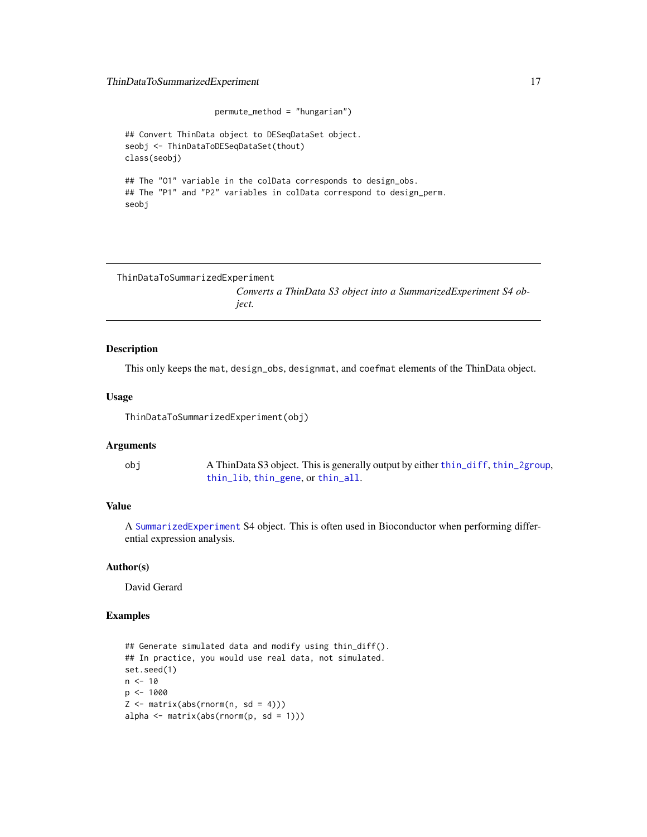# <span id="page-16-0"></span>ThinDataToSummarizedExperiment 17

```
permute_method = "hungarian")
## Convert ThinData object to DESeqDataSet object.
seobj <- ThinDataToDESeqDataSet(thout)
class(seobj)
## The "01" variable in the colData corresponds to design_obs.
## The "P1" and "P2" variables in colData correspond to design_perm.
seobj
```

```
ThinDataToSummarizedExperiment
```
*Converts a ThinData S3 object into a SummarizedExperiment S4 object.*

# Description

This only keeps the mat, design\_obs, designmat, and coefmat elements of the ThinData object.

#### Usage

ThinDataToSummarizedExperiment(obj)

# Arguments

obj A ThinData S3 object. This is generally output by either [thin\\_diff](#page-24-1), [thin\\_2group](#page-17-1), [thin\\_lib](#page-31-1), [thin\\_gene](#page-29-1), or [thin\\_all](#page-20-1).

## Value

A [SummarizedExperiment](#page-0-0) S4 object. This is often used in Bioconductor when performing differential expression analysis.

#### Author(s)

David Gerard

# Examples

```
## Generate simulated data and modify using thin_diff().
## In practice, you would use real data, not simulated.
set.seed(1)
n < -10p <- 1000
Z \leq - matrix(abs(rnorm(n, sd = 4)))
alpha \leq matrix(abs(rnorm(p, sd = 1)))
```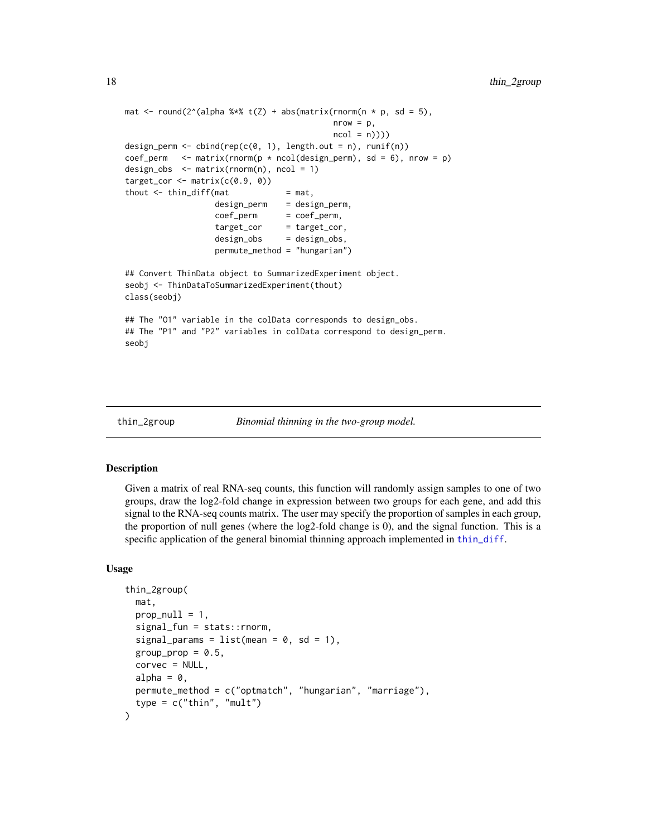```
mat \le round(2^(alpha %*% t(Z) + abs(matrix(rnorm(n * p, sd = 5),
                                           nrow = p,
                                           ncol = n)))
design_perm <- cbind(rep(c(0, 1), length.out = n), runif(n))
coef_perm <- matrix(rnorm(p * ncol(design\_perm), sd = 6), nrow = p)
design_obs <- matrix(rnorm(n), ncol = 1)
target\_cor \leftarrow matrix(c(0.9, 0))thout \le thin_diff(mat = mat,
                  design_perm = design_perm,
                  coef_perm = coef_perm,
                  target_cor = target_cor,
                  design_obs = design_obs,
                  permute_method = "hungarian")
## Convert ThinData object to SummarizedExperiment object.
seobj <- ThinDataToSummarizedExperiment(thout)
class(seobj)
## The "01" variable in the colData corresponds to design_obs.
## The "P1" and "P2" variables in colData correspond to design_perm.
seobj
```
<span id="page-17-1"></span>

```
thin_2group Binomial thinning in the two-group model.
```
#### Description

Given a matrix of real RNA-seq counts, this function will randomly assign samples to one of two groups, draw the log2-fold change in expression between two groups for each gene, and add this signal to the RNA-seq counts matrix. The user may specify the proportion of samples in each group, the proportion of null genes (where the log2-fold change is 0), and the signal function. This is a specific application of the general binomial thinning approach implemented in [thin\\_diff](#page-24-1).

#### Usage

```
thin_2group(
  mat,
  prop\_null = 1,
  signal_fun = stats::rnorm,
  signal_params = list(mean = 0, sd = 1),
  group_prop = 0.5,
  corvec = NULL,
  alpha = 0,
 permute_method = c("optmatch", "hungarian", "marriage"),
  type = c("thin", "mult")
)
```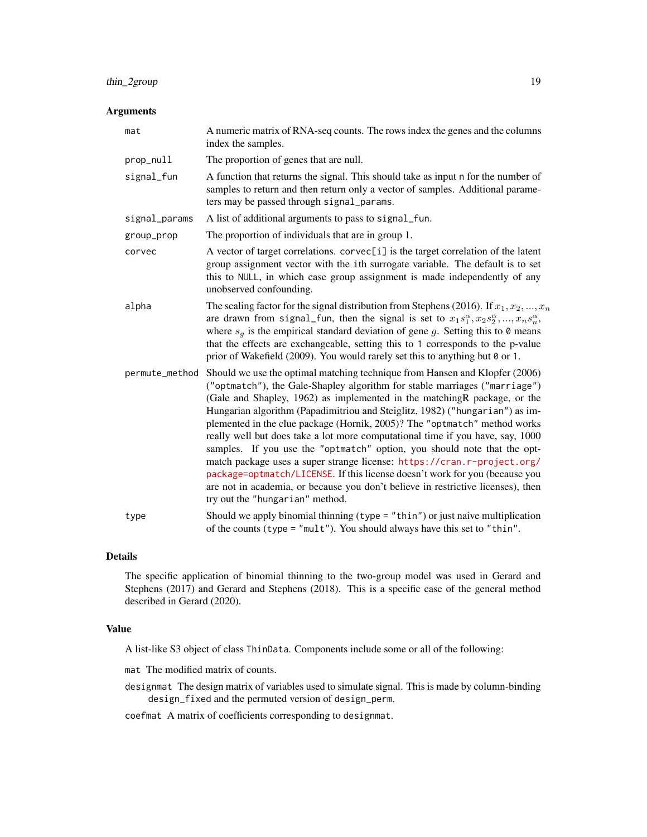# thin\_2group 19

# Arguments

| mat            | A numeric matrix of RNA-seq counts. The rows index the genes and the columns<br>index the samples.                                                                                                                                                                                                                                                                                                                                                                                                                                                                                                                                                                                                                                                                                                                                                 |
|----------------|----------------------------------------------------------------------------------------------------------------------------------------------------------------------------------------------------------------------------------------------------------------------------------------------------------------------------------------------------------------------------------------------------------------------------------------------------------------------------------------------------------------------------------------------------------------------------------------------------------------------------------------------------------------------------------------------------------------------------------------------------------------------------------------------------------------------------------------------------|
| prop_null      | The proportion of genes that are null.                                                                                                                                                                                                                                                                                                                                                                                                                                                                                                                                                                                                                                                                                                                                                                                                             |
| signal_fun     | A function that returns the signal. This should take as input n for the number of<br>samples to return and then return only a vector of samples. Additional parame-<br>ters may be passed through signal_params.                                                                                                                                                                                                                                                                                                                                                                                                                                                                                                                                                                                                                                   |
| signal_params  | A list of additional arguments to pass to signal fun.                                                                                                                                                                                                                                                                                                                                                                                                                                                                                                                                                                                                                                                                                                                                                                                              |
| group_prop     | The proportion of individuals that are in group 1.                                                                                                                                                                                                                                                                                                                                                                                                                                                                                                                                                                                                                                                                                                                                                                                                 |
| corvec         | A vector of target correlations. corvec[i] is the target correlation of the latent<br>group assignment vector with the ith surrogate variable. The default is to set<br>this to NULL, in which case group assignment is made independently of any<br>unobserved confounding.                                                                                                                                                                                                                                                                                                                                                                                                                                                                                                                                                                       |
| alpha          | The scaling factor for the signal distribution from Stephens (2016). If $x_1, x_2, , x_n$<br>are drawn from signal fun, then the signal is set to $x_1s_1^{\alpha}, x_2s_2^{\alpha}, , x_ns_n^{\alpha}$ ,<br>where $s_q$ is the empirical standard deviation of gene g. Setting this to 0 means<br>that the effects are exchangeable, setting this to 1 corresponds to the p-value<br>prior of Wakefield (2009). You would rarely set this to anything but 0 or 1.                                                                                                                                                                                                                                                                                                                                                                                 |
| permute_method | Should we use the optimal matching technique from Hansen and Klopfer (2006)<br>("optmatch"), the Gale-Shapley algorithm for stable marriages ("marriage")<br>(Gale and Shapley, 1962) as implemented in the matching R package, or the<br>Hungarian algorithm (Papadimitriou and Steiglitz, 1982) ("hungarian") as im-<br>plemented in the clue package (Hornik, 2005)? The "optmatch" method works<br>really well but does take a lot more computational time if you have, say, 1000<br>samples. If you use the "optmatch" option, you should note that the opt-<br>match package uses a super strange license: https://cran.r-project.org/<br>package=optmatch/LICENSE. If this license doesn't work for you (because you<br>are not in academia, or because you don't believe in restrictive licenses), then<br>try out the "hungarian" method. |
| type           | Should we apply binomial thinning $(typ = "thin")$ or just naive multiplication<br>of the counts (type = " $mult$ "). You should always have this set to "thin".                                                                                                                                                                                                                                                                                                                                                                                                                                                                                                                                                                                                                                                                                   |

#### Details

The specific application of binomial thinning to the two-group model was used in Gerard and Stephens (2017) and Gerard and Stephens (2018). This is a specific case of the general method described in Gerard (2020).

# Value

A list-like S3 object of class ThinData. Components include some or all of the following:

mat The modified matrix of counts.

designmat The design matrix of variables used to simulate signal. This is made by column-binding design\_fixed and the permuted version of design\_perm.

coefmat A matrix of coefficients corresponding to designmat.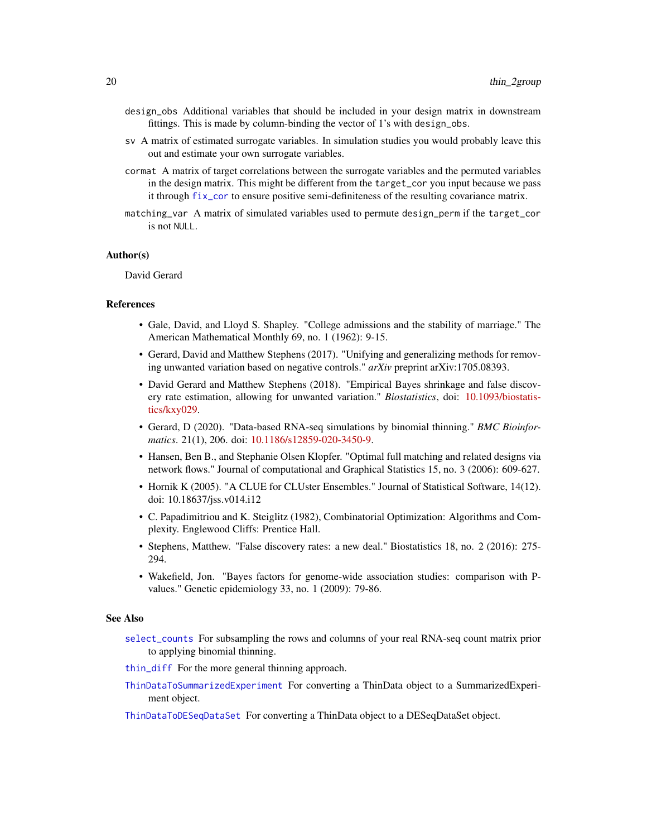- <span id="page-19-0"></span>design\_obs Additional variables that should be included in your design matrix in downstream fittings. This is made by column-binding the vector of 1's with design\_obs.
- sv A matrix of estimated surrogate variables. In simulation studies you would probably leave this out and estimate your own surrogate variables.
- cormat A matrix of target correlations between the surrogate variables and the permuted variables in the design matrix. This might be different from the target\_cor you input because we pass it through [fix\\_cor](#page-7-1) to ensure positive semi-definiteness of the resulting covariance matrix.
- matching\_var A matrix of simulated variables used to permute design\_perm if the target\_cor is not NULL.

### Author(s)

David Gerard

#### References

- Gale, David, and Lloyd S. Shapley. "College admissions and the stability of marriage." The American Mathematical Monthly 69, no. 1 (1962): 9-15.
- Gerard, David and Matthew Stephens (2017). "Unifying and generalizing methods for removing unwanted variation based on negative controls." *arXiv* preprint arXiv:1705.08393.
- David Gerard and Matthew Stephens (2018). "Empirical Bayes shrinkage and false discovery rate estimation, allowing for unwanted variation." *Biostatistics*, doi: [10.1093/biostatis](https://doi.org/10.1093/biostatistics/kxy029)[tics/kxy029.](https://doi.org/10.1093/biostatistics/kxy029)
- Gerard, D (2020). "Data-based RNA-seq simulations by binomial thinning." *BMC Bioinformatics*. 21(1), 206. doi: [10.1186/s12859-020-3450-9.](https://doi.org/10.1186/s12859-020-3450-9)
- Hansen, Ben B., and Stephanie Olsen Klopfer. "Optimal full matching and related designs via network flows." Journal of computational and Graphical Statistics 15, no. 3 (2006): 609-627.
- Hornik K (2005). "A CLUE for CLUster Ensembles." Journal of Statistical Software, 14(12). doi: 10.18637/jss.v014.i12
- C. Papadimitriou and K. Steiglitz (1982), Combinatorial Optimization: Algorithms and Complexity. Englewood Cliffs: Prentice Hall.
- Stephens, Matthew. "False discovery rates: a new deal." Biostatistics 18, no. 2 (2016): 275- 294.
- Wakefield, Jon. "Bayes factors for genome-wide association studies: comparison with Pvalues." Genetic epidemiology 33, no. 1 (2009): 79-86.

#### See Also

- [select\\_counts](#page-12-1) For subsampling the rows and columns of your real RNA-seq count matrix prior to applying binomial thinning.
- [thin\\_diff](#page-24-1) For the more general thinning approach.
- [ThinDataToSummarizedExperiment](#page-16-1) For converting a ThinData object to a SummarizedExperiment object.
- [ThinDataToDESeqDataSet](#page-15-1) For converting a ThinData object to a DESeqDataSet object.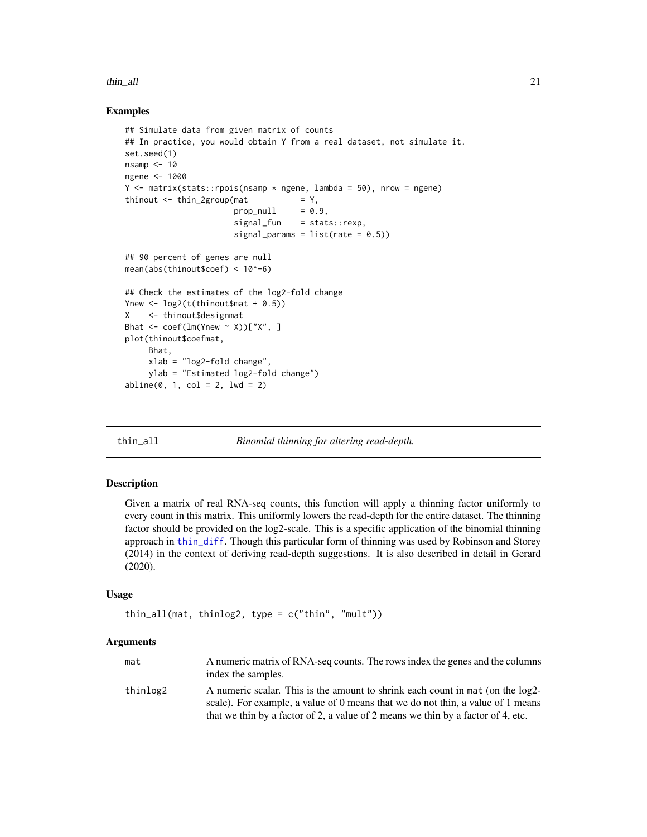#### <span id="page-20-0"></span>thin\_all 21

# Examples

```
## Simulate data from given matrix of counts
## In practice, you would obtain Y from a real dataset, not simulate it.
set.seed(1)
nsamp <-10ngene <- 1000
Y \leq - matrix(stats::rpois(nsamp * ngene, lambda = 50), nrow = ngene)
thinout \le thin_2group(mat = Y,
                       prop\_null = 0.9,
                       signal_fun = stats::rexp,
                       signal_params = list(rate = 0.5))## 90 percent of genes are null
mean(abs(thinout$coef) < 10^-6)
## Check the estimates of the log2-fold change
Ynew \leftarrow log2(t(thinout$mat + 0.5))
X <- thinout$designmat
Bhat \leq coef(lm(Ynew \leq X))["X", ]
plot(thinout$coefmat,
     Bhat,
     xlab = "log2-fold change",
     ylab = "Estimated log2-fold change")
abline(0, 1, col = 2, lwd = 2)
```
<span id="page-20-1"></span>

thin\_all *Binomial thinning for altering read-depth.*

#### Description

Given a matrix of real RNA-seq counts, this function will apply a thinning factor uniformly to every count in this matrix. This uniformly lowers the read-depth for the entire dataset. The thinning factor should be provided on the log2-scale. This is a specific application of the binomial thinning approach in [thin\\_diff](#page-24-1). Though this particular form of thinning was used by Robinson and Storey (2014) in the context of deriving read-depth suggestions. It is also described in detail in Gerard (2020).

#### Usage

```
thin_all(mat, thinlog2, type = c("thin", "mult"))
```

| mat      | A numeric matrix of RNA-seq counts. The rows index the genes and the columns<br>index the samples.                                                                                                                                                    |
|----------|-------------------------------------------------------------------------------------------------------------------------------------------------------------------------------------------------------------------------------------------------------|
| thinlog2 | A numeric scalar. This is the amount to shrink each count in mat (on the log2-<br>scale). For example, a value of 0 means that we do not thin, a value of 1 means<br>that we thin by a factor of 2, a value of 2 means we thin by a factor of 4, etc. |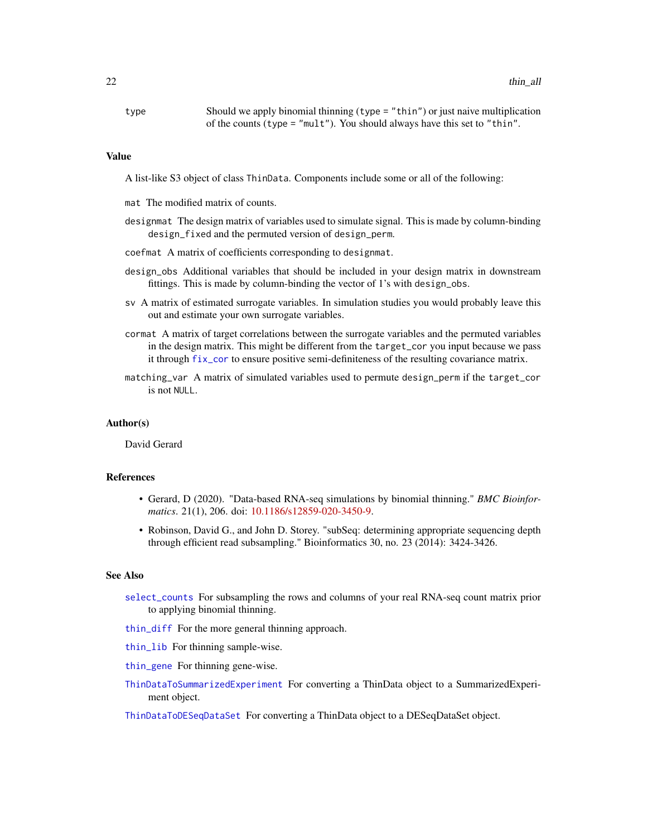<span id="page-21-0"></span>

| type | Should we apply binomial thinning $(type = "thin")$ or just naive multiplication |
|------|----------------------------------------------------------------------------------|
|      | of the counts (type = "mult"). You should always have this set to "thin".        |

#### Value

A list-like S3 object of class ThinData. Components include some or all of the following:

- mat The modified matrix of counts.
- designmat The design matrix of variables used to simulate signal. This is made by column-binding design\_fixed and the permuted version of design\_perm.
- coefmat A matrix of coefficients corresponding to designmat.
- design\_obs Additional variables that should be included in your design matrix in downstream fittings. This is made by column-binding the vector of 1's with design\_obs.
- sv A matrix of estimated surrogate variables. In simulation studies you would probably leave this out and estimate your own surrogate variables.
- cormat A matrix of target correlations between the surrogate variables and the permuted variables in the design matrix. This might be different from the target\_cor you input because we pass it through [fix\\_cor](#page-7-1) to ensure positive semi-definiteness of the resulting covariance matrix.
- matching\_var A matrix of simulated variables used to permute design\_perm if the target\_cor is not NULL.

#### Author(s)

David Gerard

# References

- Gerard, D (2020). "Data-based RNA-seq simulations by binomial thinning." *BMC Bioinformatics*. 21(1), 206. doi: [10.1186/s12859-020-3450-9.](https://doi.org/10.1186/s12859-020-3450-9)
- Robinson, David G., and John D. Storey. "subSeq: determining appropriate sequencing depth through efficient read subsampling." Bioinformatics 30, no. 23 (2014): 3424-3426.

# See Also

- [select\\_counts](#page-12-1) For subsampling the rows and columns of your real RNA-seq count matrix prior to applying binomial thinning.
- [thin\\_diff](#page-24-1) For the more general thinning approach.
- [thin\\_lib](#page-31-1) For thinning sample-wise.
- [thin\\_gene](#page-29-1) For thinning gene-wise.
- [ThinDataToSummarizedExperiment](#page-16-1) For converting a ThinData object to a SummarizedExperiment object.

[ThinDataToDESeqDataSet](#page-15-1) For converting a ThinData object to a DESeqDataSet object.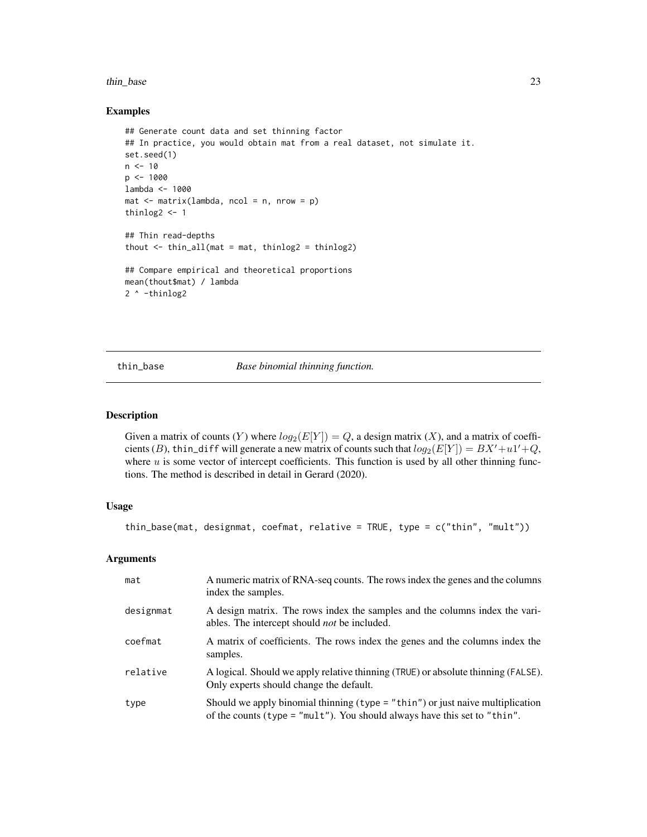#### <span id="page-22-0"></span>thin base 23

#### Examples

```
## Generate count data and set thinning factor
## In practice, you would obtain mat from a real dataset, not simulate it.
set.seed(1)
n < -10p <- 1000
lambda <- 1000
mat < -matrix(lambda, ncold) = n, nrow = p)thinlog2 <- 1
## Thin read-depths
thout \le thin_all(mat = mat, thinlog2 = thinlog2)
## Compare empirical and theoretical proportions
mean(thout$mat) / lambda
2 ^ -thinlog2
```
<span id="page-22-1"></span>thin\_base *Base binomial thinning function.*

#### Description

Given a matrix of counts (Y) where  $log_2(E[Y]) = Q$ , a design matrix (X), and a matrix of coefficients (B), thin\_diff will generate a new matrix of counts such that  $log_2(E[Y]) = BX' + u1' + Q$ , where  $u$  is some vector of intercept coefficients. This function is used by all other thinning functions. The method is described in detail in Gerard (2020).

# Usage

thin\_base(mat, designmat, coefmat, relative = TRUE, type = c("thin", "mult"))

| mat       | A numeric matrix of RNA-seq counts. The rows index the genes and the columns<br>index the samples.                                                                 |
|-----------|--------------------------------------------------------------------------------------------------------------------------------------------------------------------|
| designmat | A design matrix. The rows index the samples and the columns index the vari-<br>ables. The intercept should <i>not</i> be included.                                 |
| coefmat   | A matrix of coefficients. The rows index the genes and the columns index the<br>samples.                                                                           |
| relative  | A logical. Should we apply relative thinning (TRUE) or absolute thinning (FALSE).<br>Only experts should change the default.                                       |
| type      | Should we apply binomial thinning $(typ = "thin")$ or just naive multiplication<br>of the counts (type = $"mult"$ ). You should always have this set to $"thin"$ . |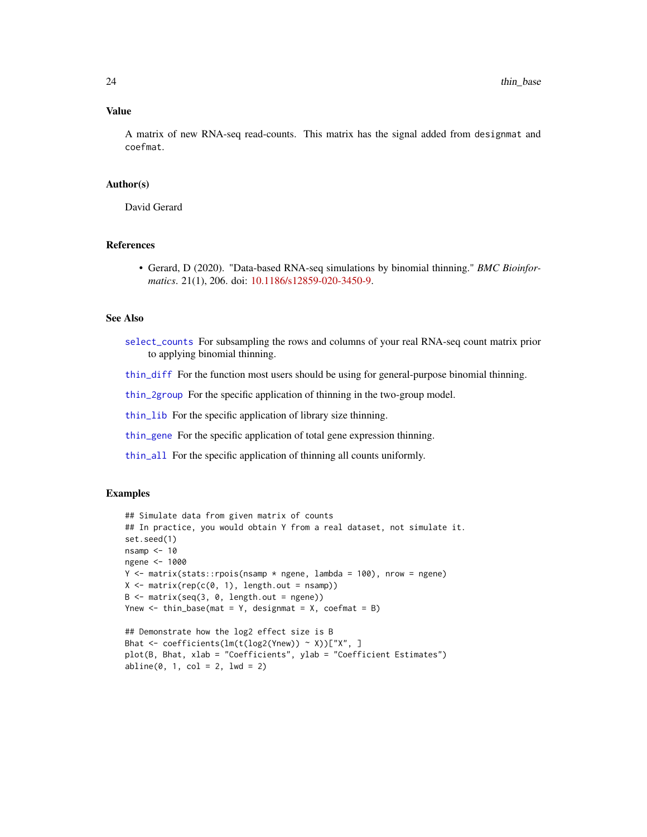# <span id="page-23-0"></span>Value

A matrix of new RNA-seq read-counts. This matrix has the signal added from designmat and coefmat.

#### Author(s)

David Gerard

#### References

• Gerard, D (2020). "Data-based RNA-seq simulations by binomial thinning." *BMC Bioinformatics*. 21(1), 206. doi: [10.1186/s12859-020-3450-9.](https://doi.org/10.1186/s12859-020-3450-9)

#### See Also

[select\\_counts](#page-12-1) For subsampling the rows and columns of your real RNA-seq count matrix prior to applying binomial thinning.

[thin\\_diff](#page-24-1) For the function most users should be using for general-purpose binomial thinning.

[thin\\_2group](#page-17-1) For the specific application of thinning in the two-group model.

[thin\\_lib](#page-31-1) For the specific application of library size thinning.

[thin\\_gene](#page-29-1) For the specific application of total gene expression thinning.

[thin\\_all](#page-20-1) For the specific application of thinning all counts uniformly.

# Examples

```
## Simulate data from given matrix of counts
## In practice, you would obtain Y from a real dataset, not simulate it.
set.seed(1)
nsamp <-10ngene <- 1000
Y <- matrix(stats::rpois(nsamp * ngene, lambda = 100), nrow = ngene)
X \leq - matrix(rep(c(0, 1), length.out = nsamp))
B \le - matrix(seq(3, 0, length.out = ngene))
Ynew \le thin_base(mat = Y, designmat = X, coefmat = B)
## Demonstrate how the log2 effect size is B
Bhat <- coefficients(lm(t(log2(Ynew)) ~ X))["X", ]
plot(B, Bhat, xlab = "Coefficients", ylab = "Coefficient Estimates")
abline(0, 1, col = 2, 1wd = 2)
```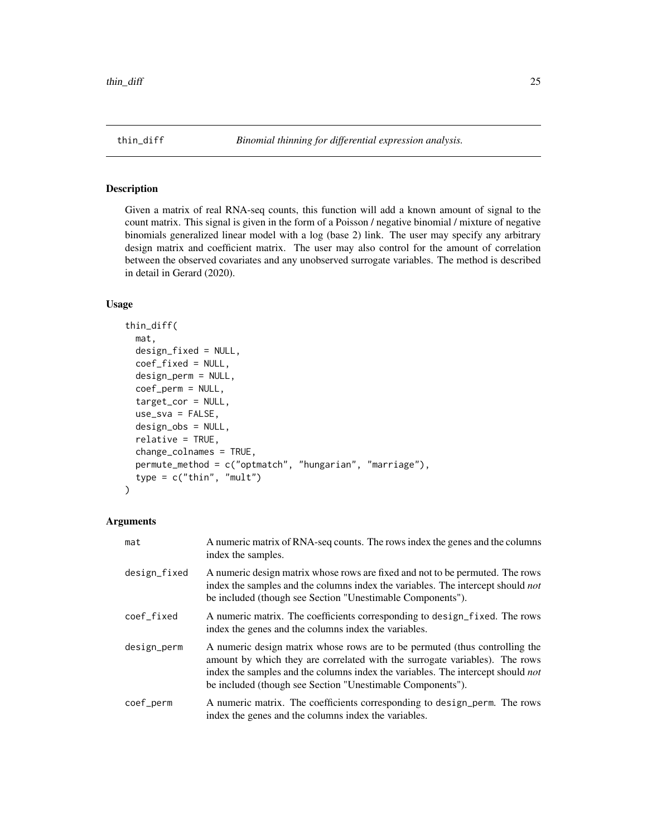# <span id="page-24-1"></span><span id="page-24-0"></span>Description

Given a matrix of real RNA-seq counts, this function will add a known amount of signal to the count matrix. This signal is given in the form of a Poisson / negative binomial / mixture of negative binomials generalized linear model with a log (base 2) link. The user may specify any arbitrary design matrix and coefficient matrix. The user may also control for the amount of correlation between the observed covariates and any unobserved surrogate variables. The method is described in detail in Gerard (2020).

# Usage

```
thin_diff(
 mat,
  design_fixed = NULL,
  coef_fixed = NULL,
  design_perm = NULL,
  coef_perm = NULL,
  target_cor = NULL,
  use_sva = FALSE,design_obs = NULL,
  relative = TRUE,
  change_colnames = TRUE,
  permute_method = c("optmatch", "hungarian", "marriage"),
  type = c("thin", "mult"))
```

| mat          | A numeric matrix of RNA-seq counts. The rows index the genes and the columns<br>index the samples.                                                                                                                                                                                                                 |
|--------------|--------------------------------------------------------------------------------------------------------------------------------------------------------------------------------------------------------------------------------------------------------------------------------------------------------------------|
| design_fixed | A numeric design matrix whose rows are fixed and not to be permuted. The rows<br>index the samples and the columns index the variables. The intercept should <i>not</i><br>be included (though see Section "Unestimable Components").                                                                              |
| coef_fixed   | A numeric matrix. The coefficients corresponding to design_fixed. The rows<br>index the genes and the columns index the variables.                                                                                                                                                                                 |
| design_perm  | A numeric design matrix whose rows are to be permuted (thus controlling the<br>amount by which they are correlated with the surrogate variables). The rows<br>index the samples and the columns index the variables. The intercept should <i>not</i><br>be included (though see Section "Unestimable Components"). |
| coef_perm    | A numeric matrix. The coefficients corresponding to design_perm. The rows<br>index the genes and the columns index the variables.                                                                                                                                                                                  |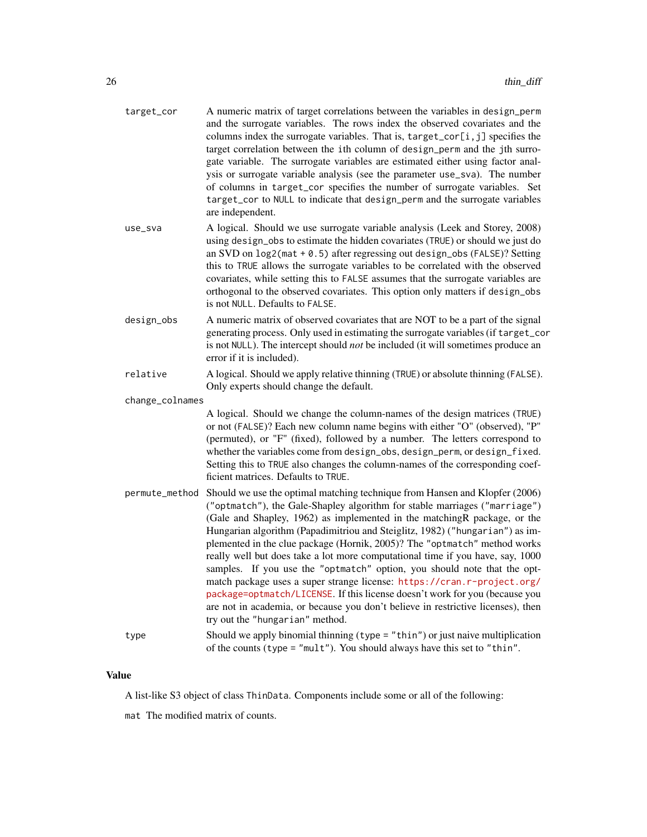| target_cor      | A numeric matrix of target correlations between the variables in design_perm<br>and the surrogate variables. The rows index the observed covariates and the<br>columns index the surrogate variables. That is, target_cor[i, j] specifies the<br>target correlation between the ith column of design_perm and the jth surro-<br>gate variable. The surrogate variables are estimated either using factor anal-<br>ysis or surrogate variable analysis (see the parameter use_sva). The number<br>of columns in target_cor specifies the number of surrogate variables. Set<br>target_cor to NULL to indicate that design_perm and the surrogate variables<br>are independent.                                                                                                                                                                     |
|-----------------|---------------------------------------------------------------------------------------------------------------------------------------------------------------------------------------------------------------------------------------------------------------------------------------------------------------------------------------------------------------------------------------------------------------------------------------------------------------------------------------------------------------------------------------------------------------------------------------------------------------------------------------------------------------------------------------------------------------------------------------------------------------------------------------------------------------------------------------------------|
| use_sva         | A logical. Should we use surrogate variable analysis (Leek and Storey, 2008)<br>using design_obs to estimate the hidden covariates (TRUE) or should we just do<br>an SVD on $log2(mat + 0.5)$ after regressing out design_obs (FALSE)? Setting<br>this to TRUE allows the surrogate variables to be correlated with the observed<br>covariates, while setting this to FALSE assumes that the surrogate variables are<br>orthogonal to the observed covariates. This option only matters if design_obs<br>is not NULL. Defaults to FALSE.                                                                                                                                                                                                                                                                                                          |
| design_obs      | A numeric matrix of observed covariates that are NOT to be a part of the signal<br>generating process. Only used in estimating the surrogate variables (if target_cor<br>is not NULL). The intercept should <i>not</i> be included (it will sometimes produce an<br>error if it is included).                                                                                                                                                                                                                                                                                                                                                                                                                                                                                                                                                     |
| relative        | A logical. Should we apply relative thinning (TRUE) or absolute thinning (FALSE).<br>Only experts should change the default.                                                                                                                                                                                                                                                                                                                                                                                                                                                                                                                                                                                                                                                                                                                      |
| change_colnames |                                                                                                                                                                                                                                                                                                                                                                                                                                                                                                                                                                                                                                                                                                                                                                                                                                                   |
|                 | A logical. Should we change the column-names of the design matrices (TRUE)<br>or not (FALSE)? Each new column name begins with either "O" (observed), "P"<br>(permuted), or "F" (fixed), followed by a number. The letters correspond to<br>whether the variables come from design_obs, design_perm, or design_fixed.<br>Setting this to TRUE also changes the column-names of the corresponding coef-<br>ficient matrices. Defaults to TRUE.                                                                                                                                                                                                                                                                                                                                                                                                     |
| permute_method  | Should we use the optimal matching technique from Hansen and Klopfer (2006)<br>("optmatch"), the Gale-Shapley algorithm for stable marriages ("marriage")<br>(Gale and Shapley, 1962) as implemented in the matchingR package, or the<br>Hungarian algorithm (Papadimitriou and Steiglitz, 1982) ("hungarian") as im-<br>plemented in the clue package (Hornik, 2005)? The "optmatch" method works<br>really well but does take a lot more computational time if you have, say, 1000<br>samples. If you use the "optmatch" option, you should note that the opt-<br>match package uses a super strange license: https://cran.r-project.org/<br>package=optmatch/LICENSE. If this license doesn't work for you (because you<br>are not in academia, or because you don't believe in restrictive licenses), then<br>try out the "hungarian" method. |
| type            | Should we apply binomial thinning $(type = "thin")$ or just naive multiplication<br>of the counts (type = "mult"). You should always have this set to "thin".                                                                                                                                                                                                                                                                                                                                                                                                                                                                                                                                                                                                                                                                                     |

# Value

A list-like S3 object of class ThinData. Components include some or all of the following:

mat The modified matrix of counts.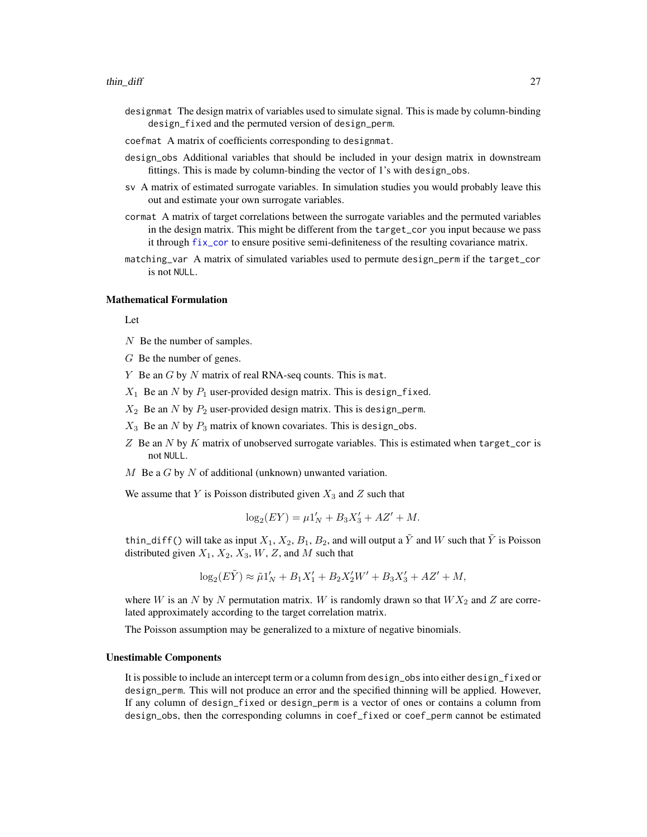- <span id="page-26-0"></span>designmat The design matrix of variables used to simulate signal. This is made by column-binding design\_fixed and the permuted version of design\_perm.
- coefmat A matrix of coefficients corresponding to designmat.
- design\_obs Additional variables that should be included in your design matrix in downstream fittings. This is made by column-binding the vector of 1's with design\_obs.
- sv A matrix of estimated surrogate variables. In simulation studies you would probably leave this out and estimate your own surrogate variables.
- cormat A matrix of target correlations between the surrogate variables and the permuted variables in the design matrix. This might be different from the target\_cor you input because we pass it through [fix\\_cor](#page-7-1) to ensure positive semi-definiteness of the resulting covariance matrix.
- matching\_var A matrix of simulated variables used to permute design\_perm if the target\_cor is not NULL.

#### Mathematical Formulation

Let

- N Be the number of samples.
- G Be the number of genes.
- $Y$  Be an  $G$  by  $N$  matrix of real RNA-seq counts. This is mat.
- $X_1$  Be an N by  $P_1$  user-provided design matrix. This is design\_fixed.
- $X_2$  Be an N by  $P_2$  user-provided design matrix. This is design\_perm.
- $X_3$  Be an N by  $P_3$  matrix of known covariates. This is design\_obs.
- $Z$  Be an N by K matrix of unobserved surrogate variables. This is estimated when target\_cor is not NULL.
- M Be a G by N of additional (unknown) unwanted variation.

We assume that Y is Poisson distributed given  $X_3$  and Z such that

$$
\log_2(EY) = \mu 1'_N + B_3 X'_3 + AZ' + M.
$$

thin\_diff() will take as input  $X_1, X_2, B_1, B_2$ , and will output a  $\tilde{Y}$  and W such that  $\tilde{Y}$  is Poisson distributed given  $X_1, X_2, X_3, W, Z$ , and M such that

$$
\log_2(E\tilde{Y}) \approx \tilde{\mu}1_N' + B_1X_1' + B_2X_2'W' + B_3X_3' + AZ' + M,
$$

where W is an N by N permutation matrix. W is randomly drawn so that  $WX_2$  and Z are correlated approximately according to the target correlation matrix.

The Poisson assumption may be generalized to a mixture of negative binomials.

#### Unestimable Components

It is possible to include an intercept term or a column from design\_obs into either design\_fixed or design\_perm. This will not produce an error and the specified thinning will be applied. However, If any column of design\_fixed or design\_perm is a vector of ones or contains a column from design\_obs, then the corresponding columns in coef\_fixed or coef\_perm cannot be estimated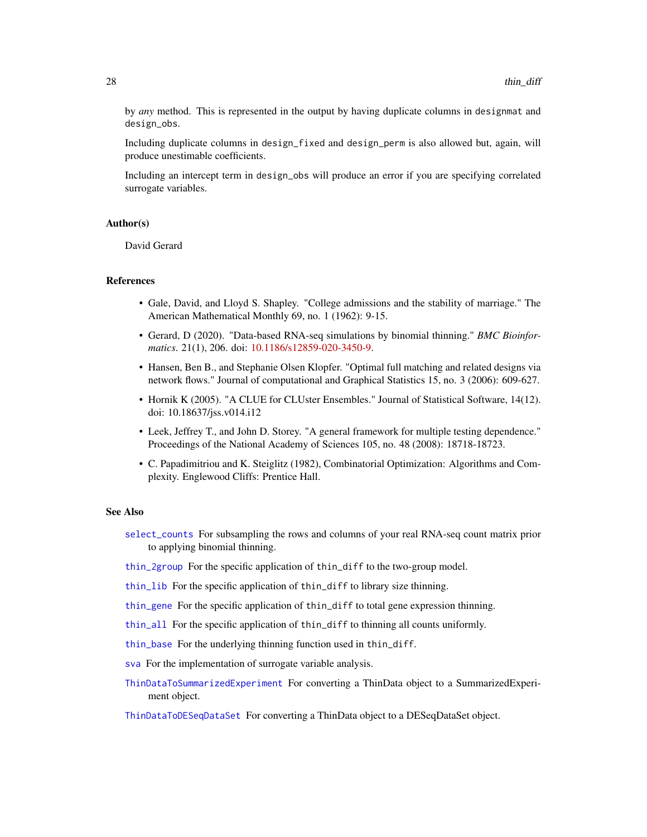<span id="page-27-0"></span>by *any* method. This is represented in the output by having duplicate columns in designmat and design\_obs.

Including duplicate columns in design\_fixed and design\_perm is also allowed but, again, will produce unestimable coefficients.

Including an intercept term in design\_obs will produce an error if you are specifying correlated surrogate variables.

#### Author(s)

David Gerard

#### References

- Gale, David, and Lloyd S. Shapley. "College admissions and the stability of marriage." The American Mathematical Monthly 69, no. 1 (1962): 9-15.
- Gerard, D (2020). "Data-based RNA-seq simulations by binomial thinning." *BMC Bioinformatics*. 21(1), 206. doi: [10.1186/s12859-020-3450-9.](https://doi.org/10.1186/s12859-020-3450-9)
- Hansen, Ben B., and Stephanie Olsen Klopfer. "Optimal full matching and related designs via network flows." Journal of computational and Graphical Statistics 15, no. 3 (2006): 609-627.
- Hornik K (2005). "A CLUE for CLUster Ensembles." Journal of Statistical Software, 14(12). doi: 10.18637/jss.v014.i12
- Leek, Jeffrey T., and John D. Storey. "A general framework for multiple testing dependence." Proceedings of the National Academy of Sciences 105, no. 48 (2008): 18718-18723.
- C. Papadimitriou and K. Steiglitz (1982), Combinatorial Optimization: Algorithms and Complexity. Englewood Cliffs: Prentice Hall.

# See Also

- [select\\_counts](#page-12-1) For subsampling the rows and columns of your real RNA-seq count matrix prior to applying binomial thinning.
- [thin\\_2group](#page-17-1) For the specific application of thin\_diff to the two-group model.
- [thin\\_lib](#page-31-1) For the specific application of thin\_diff to library size thinning.
- [thin\\_gene](#page-29-1) For the specific application of thin\_diff to total gene expression thinning.
- [thin\\_all](#page-20-1) For the specific application of thin\_diff to thinning all counts uniformly.
- [thin\\_base](#page-22-1) For the underlying thinning function used in thin\_diff.
- [sva](#page-0-0) For the implementation of surrogate variable analysis.
- [ThinDataToSummarizedExperiment](#page-16-1) For converting a ThinData object to a SummarizedExperiment object.

[ThinDataToDESeqDataSet](#page-15-1) For converting a ThinData object to a DESeqDataSet object.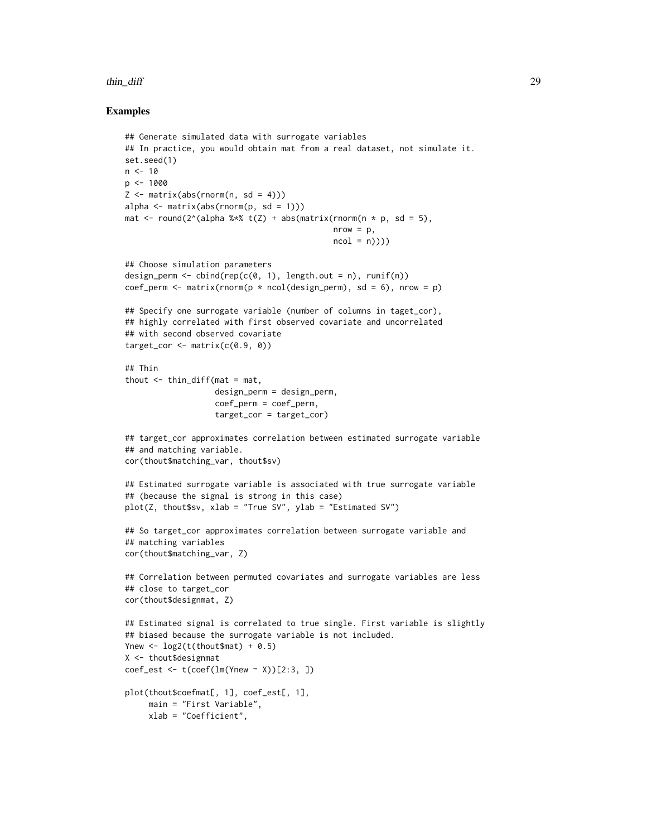#### thin\_diff 29

# Examples

```
## Generate simulated data with surrogate variables
## In practice, you would obtain mat from a real dataset, not simulate it.
set.seed(1)
n < -10p <- 1000
Z \leq - matrix(abs(rnorm(n, sd = 4)))
alpha \leq matrix(abs(rnorm(p, sd = 1)))
mat \le round(2^(alpha %*% t(Z) + abs(matrix(rnorm(n * p, sd = 5),
                                             nrow = p,
                                             ncol = n))## Choose simulation parameters
design_perm <- cbind(rep(c(0, 1), length.out = n), runif(n))
coef_perm <- matrix(rnorm(p \times \text{ncol}(design_perm), sd = 6), nrow = p)
## Specify one surrogate variable (number of columns in taget_cor),
## highly correlated with first observed covariate and uncorrelated
## with second observed covariate
target_cor \leq matrix(c(0.9, 0))
## Thin
thout \leq thin_diff(mat = mat,
                   design_perm = design_perm,
                   coef_perm = coef_perm,
                   target_cor = target_cor)
## target_cor approximates correlation between estimated surrogate variable
## and matching variable.
cor(thout$matching_var, thout$sv)
## Estimated surrogate variable is associated with true surrogate variable
## (because the signal is strong in this case)
plot(Z, thout$sv, xlab = "True SV", ylab = "Estimated SV")
## So target_cor approximates correlation between surrogate variable and
## matching variables
cor(thout$matching_var, Z)
## Correlation between permuted covariates and surrogate variables are less
## close to target_cor
cor(thout$designmat, Z)
## Estimated signal is correlated to true single. First variable is slightly
## biased because the surrogate variable is not included.
Ynew \leq -\log( t \cdot ( \text{thout} \cdot \text{Mn}) + 0.5)X <- thout$designmat
coef_est <- t(coef(lm(Ynew ~ X))[2:3, ])
plot(thout$coefmat[, 1], coef_est[, 1],
     main = "First Variable",
     xlab = "Coefficient",
```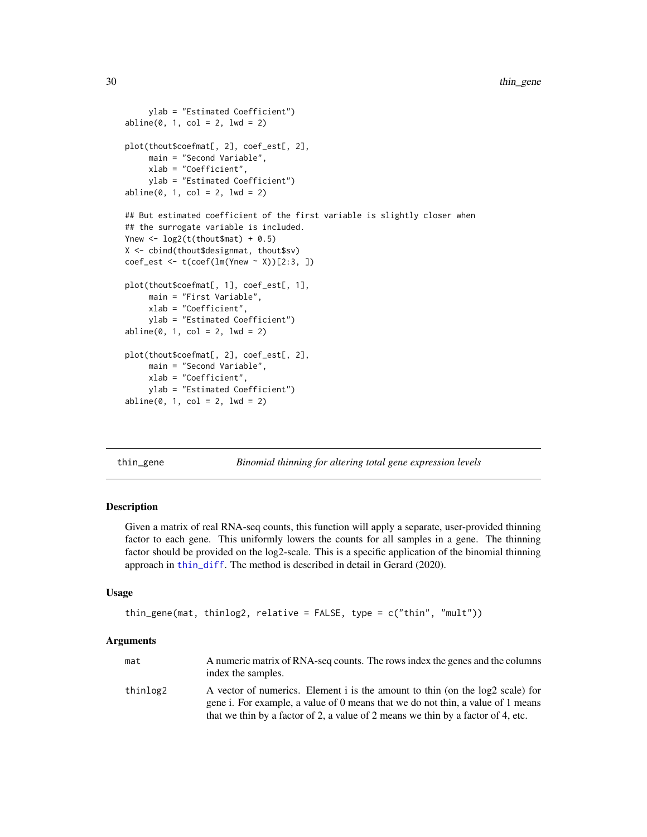```
ylab = "Estimated Coefficient")
abline(0, 1, col = 2, 1wd = 2)plot(thout$coefmat[, 2], coef_est[, 2],
    main = "Second Variable",
    xlab = "Coefficient",
    ylab = "Estimated Coefficient")
abline(0, 1, col = 2, lwd = 2)## But estimated coefficient of the first variable is slightly closer when
## the surrogate variable is included.
Ynew \leftarrow log2(t(thout$mat) + 0.5)
X <- cbind(thout$designmat, thout$sv)
coef_est <- t(coef(lm(Ynew ~ X))[2:3, ])
plot(thout$coefmat[, 1], coef_est[, 1],
    main = "First Variable",
     xlab = "Coefficient",
    ylab = "Estimated Coefficient")
abline(0, 1, col = 2, lwd = 2)plot(thout$coefmat[, 2], coef_est[, 2],
    main = "Second Variable",
    xlab = "Coefficient",
    ylab = "Estimated Coefficient")
abline(0, 1, col = 2, 1wd = 2)
```
<span id="page-29-1"></span>thin\_gene *Binomial thinning for altering total gene expression levels*

# Description

Given a matrix of real RNA-seq counts, this function will apply a separate, user-provided thinning factor to each gene. This uniformly lowers the counts for all samples in a gene. The thinning factor should be provided on the log2-scale. This is a specific application of the binomial thinning approach in [thin\\_diff](#page-24-1). The method is described in detail in Gerard (2020).

#### Usage

```
thin_gene(mat, thinlog2, relative = FALSE, type = c("thin", "mult"))
```

| mat      | A numeric matrix of RNA-seq counts. The rows index the genes and the columns<br>index the samples.                                                               |
|----------|------------------------------------------------------------------------------------------------------------------------------------------------------------------|
| thinlog2 | A vector of numerics. Element i is the amount to thin (on the log2 scale) for<br>gene i. For example, a value of 0 means that we do not thin, a value of 1 means |
|          | that we thin by a factor of 2, a value of 2 means we thin by a factor of 4, etc.                                                                                 |

<span id="page-29-0"></span>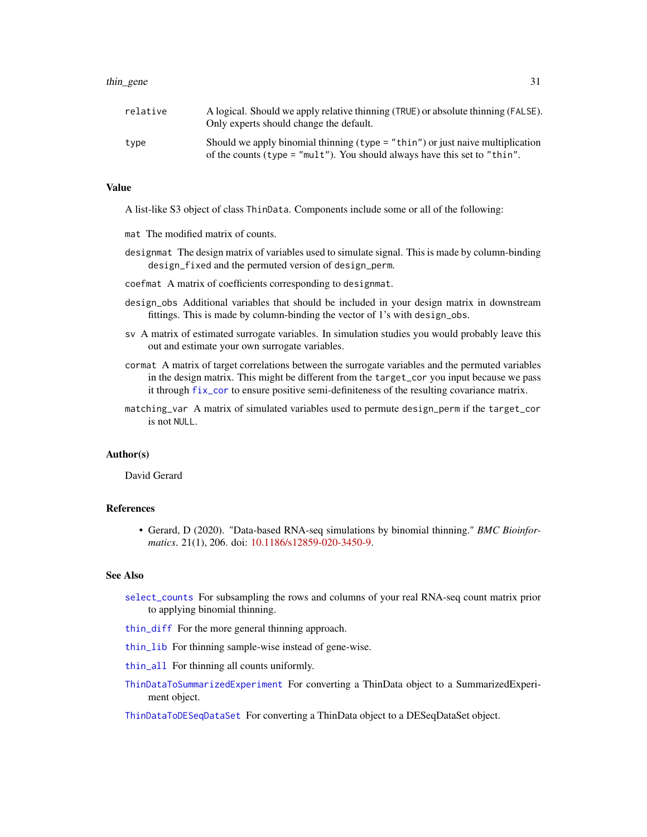<span id="page-30-0"></span>

| relative | A logical. Should we apply relative thinning (TRUE) or absolute thinning (FALSE).<br>Only experts should change the default.                                       |
|----------|--------------------------------------------------------------------------------------------------------------------------------------------------------------------|
| type     | Should we apply binomial thinning ( $type = "thin")$ or just naive multiplication<br>of the counts (type = " $mult$ "). You should always have this set to "thin". |

# Value

A list-like S3 object of class ThinData. Components include some or all of the following:

- mat The modified matrix of counts.
- designmat The design matrix of variables used to simulate signal. This is made by column-binding design\_fixed and the permuted version of design\_perm.
- coefmat A matrix of coefficients corresponding to designmat.
- design\_obs Additional variables that should be included in your design matrix in downstream fittings. This is made by column-binding the vector of 1's with design\_obs.
- sv A matrix of estimated surrogate variables. In simulation studies you would probably leave this out and estimate your own surrogate variables.
- cormat A matrix of target correlations between the surrogate variables and the permuted variables in the design matrix. This might be different from the target\_cor you input because we pass it through [fix\\_cor](#page-7-1) to ensure positive semi-definiteness of the resulting covariance matrix.
- matching\_var A matrix of simulated variables used to permute design\_perm if the target\_cor is not NULL.

#### Author(s)

David Gerard

#### References

• Gerard, D (2020). "Data-based RNA-seq simulations by binomial thinning." *BMC Bioinformatics*. 21(1), 206. doi: [10.1186/s12859-020-3450-9.](https://doi.org/10.1186/s12859-020-3450-9)

# See Also

- [select\\_counts](#page-12-1) For subsampling the rows and columns of your real RNA-seq count matrix prior to applying binomial thinning.
- [thin\\_diff](#page-24-1) For the more general thinning approach.
- [thin\\_lib](#page-31-1) For thinning sample-wise instead of gene-wise.
- [thin\\_all](#page-20-1) For thinning all counts uniformly.
- [ThinDataToSummarizedExperiment](#page-16-1) For converting a ThinData object to a SummarizedExperiment object.

[ThinDataToDESeqDataSet](#page-15-1) For converting a ThinData object to a DESeqDataSet object.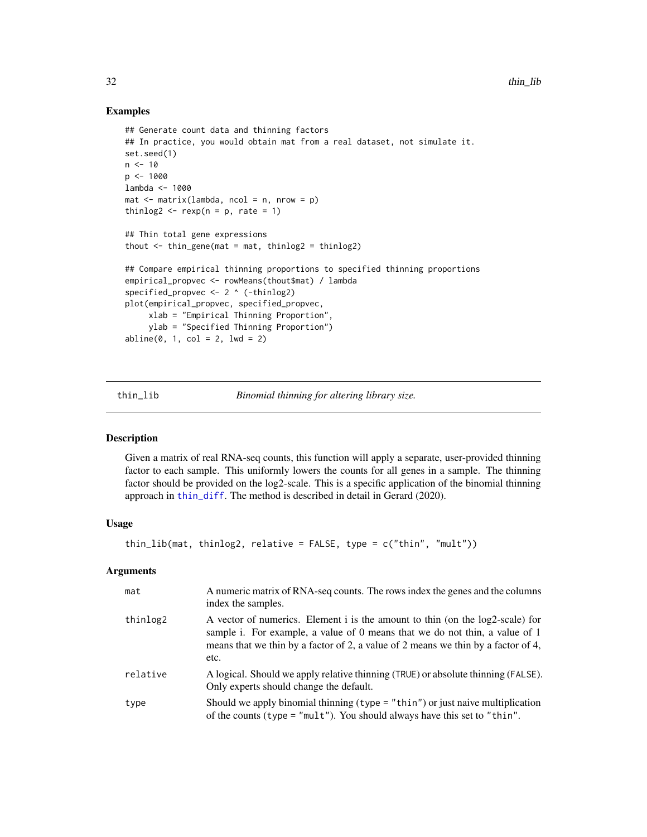# Examples

```
## Generate count data and thinning factors
## In practice, you would obtain mat from a real dataset, not simulate it.
set.seed(1)
n < -10p <- 1000
lambda <- 1000
mat < - matrix(lambda, ncol = n, nrow = p)thinlog2 \leq rexp(n = p, rate = 1)
## Thin total gene expressions
thout \le thin_gene(mat = mat, thinlog2 = thinlog2)
## Compare empirical thinning proportions to specified thinning proportions
empirical_propvec <- rowMeans(thout$mat) / lambda
specified_propvec <- 2 ^ (-thinlog2)
plot(empirical_propvec, specified_propvec,
     xlab = "Empirical Thinning Proportion",
     ylab = "Specified Thinning Proportion")
abline(0, 1, col = 2, 1wd = 2)
```
<span id="page-31-1"></span>thin\_lib *Binomial thinning for altering library size.*

#### Description

Given a matrix of real RNA-seq counts, this function will apply a separate, user-provided thinning factor to each sample. This uniformly lowers the counts for all genes in a sample. The thinning factor should be provided on the log2-scale. This is a specific application of the binomial thinning approach in [thin\\_diff](#page-24-1). The method is described in detail in Gerard (2020).

#### Usage

```
thin_lib(mat, thinlog2, relative = FALSE, type = c("thin", "mult"))
```

| mat      | A numeric matrix of RNA-seq counts. The rows index the genes and the columns<br>index the samples.                                                                                                                                                        |
|----------|-----------------------------------------------------------------------------------------------------------------------------------------------------------------------------------------------------------------------------------------------------------|
| thinlog2 | A vector of numerics. Element i is the amount to thin (on the log2-scale) for<br>sample i. For example, a value of 0 means that we do not thin, a value of 1<br>means that we thin by a factor of 2, a value of 2 means we thin by a factor of 4,<br>etc. |
| relative | A logical. Should we apply relative thinning (TRUE) or absolute thinning (FALSE).<br>Only experts should change the default.                                                                                                                              |
| type     | Should we apply binomial thinning $(typ = "thin")$ or just naive multiplication<br>of the counts (type = $"mult"$ ). You should always have this set to $"thin"$ .                                                                                        |

<span id="page-31-0"></span>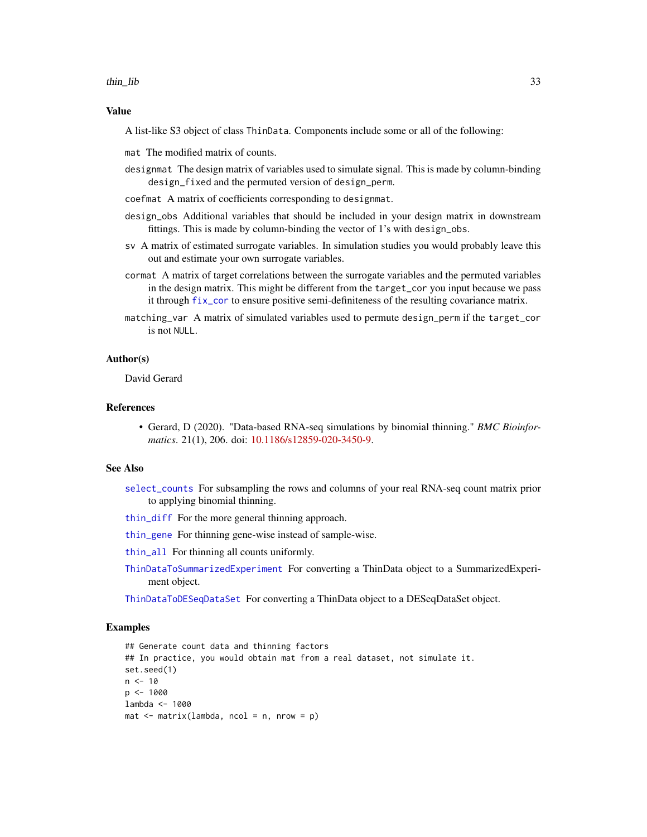<span id="page-32-0"></span>thin lib 33

#### Value

A list-like S3 object of class ThinData. Components include some or all of the following:

mat The modified matrix of counts.

- designmat The design matrix of variables used to simulate signal. This is made by column-binding design\_fixed and the permuted version of design\_perm.
- coefmat A matrix of coefficients corresponding to designmat.
- design\_obs Additional variables that should be included in your design matrix in downstream fittings. This is made by column-binding the vector of 1's with design\_obs.
- sv A matrix of estimated surrogate variables. In simulation studies you would probably leave this out and estimate your own surrogate variables.
- cormat A matrix of target correlations between the surrogate variables and the permuted variables in the design matrix. This might be different from the target\_cor you input because we pass it through [fix\\_cor](#page-7-1) to ensure positive semi-definiteness of the resulting covariance matrix.
- matching\_var A matrix of simulated variables used to permute design\_perm if the target\_cor is not NULL.

#### Author(s)

David Gerard

## References

• Gerard, D (2020). "Data-based RNA-seq simulations by binomial thinning." *BMC Bioinformatics*. 21(1), 206. doi: [10.1186/s12859-020-3450-9.](https://doi.org/10.1186/s12859-020-3450-9)

#### See Also

- [select\\_counts](#page-12-1) For subsampling the rows and columns of your real RNA-seq count matrix prior to applying binomial thinning.
- [thin\\_diff](#page-24-1) For the more general thinning approach.

[thin\\_gene](#page-29-1) For thinning gene-wise instead of sample-wise.

[thin\\_all](#page-20-1) For thinning all counts uniformly.

[ThinDataToSummarizedExperiment](#page-16-1) For converting a ThinData object to a SummarizedExperiment object.

[ThinDataToDESeqDataSet](#page-15-1) For converting a ThinData object to a DESeqDataSet object.

# Examples

```
## Generate count data and thinning factors
## In practice, you would obtain mat from a real dataset, not simulate it.
set.seed(1)
n < -10p <- 1000
lambda <- 1000
mat < -matrix(lambda, ncol = n, nrow = p)
```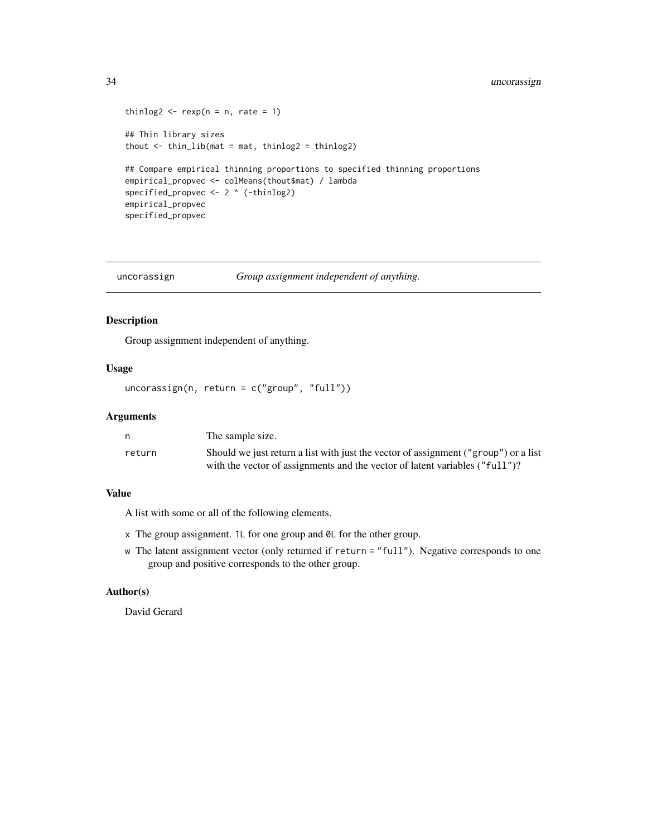```
thinlog2 \leftarrow rexp(n = n, rate = 1)
## Thin library sizes
thout \le thin_lib(mat = mat, thinlog2 = thinlog2)
## Compare empirical thinning proportions to specified thinning proportions
empirical_propvec <- colMeans(thout$mat) / lambda
specified_propvec <- 2 ^ (-thinlog2)
empirical_propvec
specified_propvec
```
uncorassign *Group assignment independent of anything.*

# Description

Group assignment independent of anything.

## Usage

```
uncorassign(n, return = c("group", "full"))
```
# Arguments

|        | The sample size.                                                                    |
|--------|-------------------------------------------------------------------------------------|
| return | Should we just return a list with just the vector of assignment ("group") or a list |
|        | with the vector of assignments and the vector of latent variables ("full")?         |

# Value

A list with some or all of the following elements.

- x The group assignment. 1L for one group and 0L for the other group.
- w The latent assignment vector (only returned if return = "full"). Negative corresponds to one group and positive corresponds to the other group.

# Author(s)

David Gerard

<span id="page-33-0"></span>